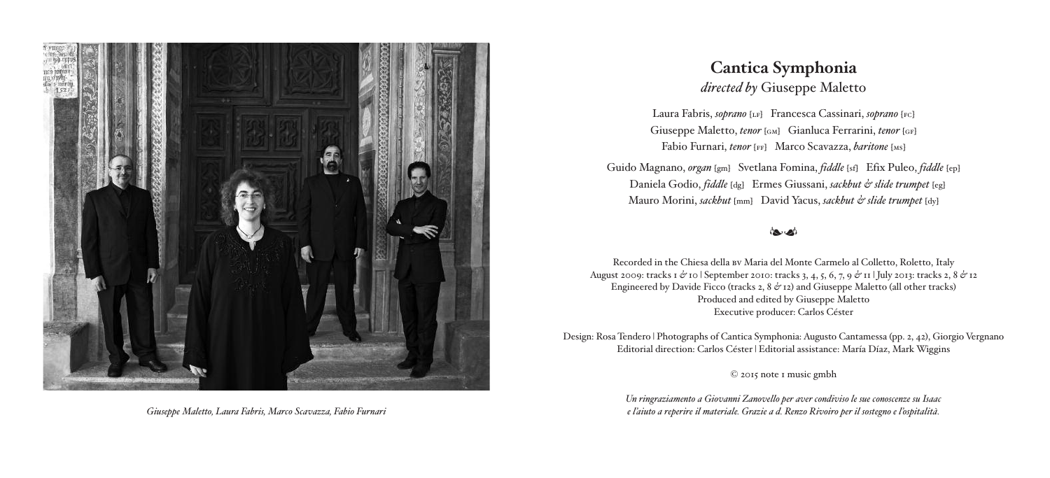

# **Cantica Symphonia** *directed by* Giuseppe Maletto

Laura Fabris, *soprano* [LF] Francesca Cassinari, *soprano* [FC] Giuseppe Maletto, *tenor* [GM] Gianluca Ferrarini, *tenor* [GF] Fabio Furnari, *tenor* [ff] Marco Scavazza, *baritone* [ms]

Guido Magnano, *organ* [gm] Svetlana Fomina, *fiddle* [sf] Efix Puleo, *fiddle* [ep] Daniela Godio, *fiddle* [dg] Ermes Giussani, *sackbut & slide trumpet* [eg] Mauro Morini, *sackbut* [mm] David Yacus, *sackbut & slide trumpet* [dy]

# إمجادها

Recorded in the Chiesa della bv Maria del Monte Carmelo al Colletto, Roletto, Italy August 2009: tracks 1 *&* 10 | September 2010: tracks 3, 4, 5, 6, 7, 9 *&* 11 | July 2013: tracks 2, 8 *&* 12 Engineered by Davide Ficco (tracks 2, 8  $\phi$  12) and Giuseppe Maletto (all other tracks) Produced and edited by Giuseppe Maletto Executive producer: Carlos Céster

Design: Rosa Tendero | Photographs of Cantica Symphonia: Augusto Cantamessa (pp. 2, 42), Giorgio Vergnano Editorial direction: Carlos Céster | Editorial assistance: María Díaz, Mark Wiggins

© 2015 note 1 music gmbh

*Un ringraziamento a Giovanni Zanovello per aver condiviso le sue conoscenze su Isaac* Giuseppe Maletto, Laura Fabris, Marco Scavazza, Fabio Furnari e controllo con controllo di controllo di controllo di controllo di controllo di controllo di controllo di controllo di controllo di controllo di controllo di c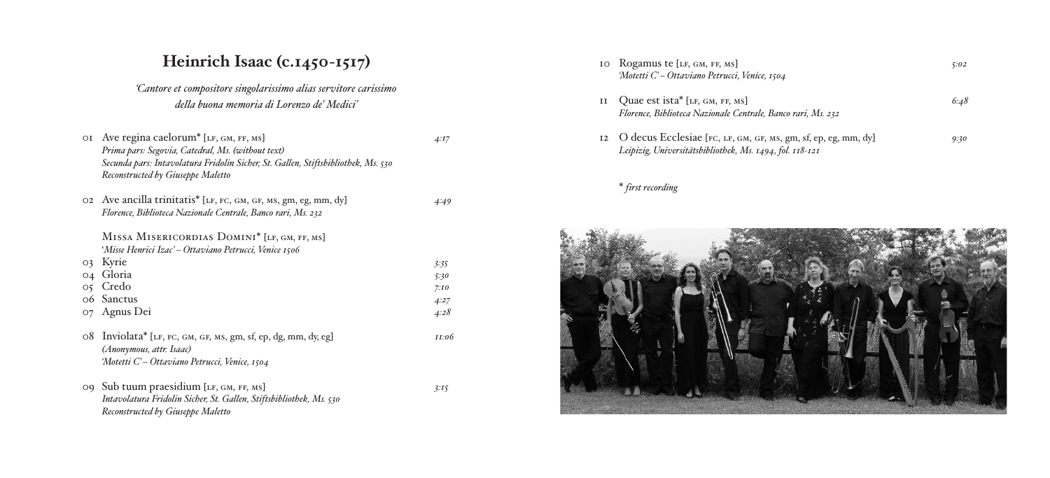# Heinrich Isaac (c.1450-1517)

'Cantore et compositore singolarissimo alias servitore carissimo *de lla b u o n a m e m o ria di L o re n z o de Me dic i ' '*

| ΟI      | Ave regina caelorum <sup>*</sup> [LF, GM, FF, MS]<br>Prima pars: Segovia, Catedral, Ms. (without text)<br>Secunda pars: Intavolatura Fridolin Sicher, St. Gallen, Stiftsbibliothek, Ms. 530<br>Reconstructed by Giuseppe Maletto | 4:17  |
|---------|----------------------------------------------------------------------------------------------------------------------------------------------------------------------------------------------------------------------------------|-------|
|         |                                                                                                                                                                                                                                  |       |
|         | 02 Ave ancilla trinitatis <sup>*</sup> [LF, FC, GM, GF, MS, gm, eg, mm, dy]                                                                                                                                                      | 4:49  |
|         | Florence, Biblioteca Nazionale Centrale, Banco rari, Ms. 232                                                                                                                                                                     |       |
|         | MISSA MISERICORDIAS DOMINI <sup>*</sup> [LF, GM, FF, MS]                                                                                                                                                                         |       |
|         | 'Misse Henrici Izac' – Ottaviano Petrucci, Venice 1506                                                                                                                                                                           |       |
| O3      | Kyrie                                                                                                                                                                                                                            | 3:35  |
| 04      | Gloria                                                                                                                                                                                                                           | 5:30  |
| $\circ$ | Credo                                                                                                                                                                                                                            | 7:10  |
|         | 06 Sanctus                                                                                                                                                                                                                       | 4:27  |
| O7      | Agnus Dei                                                                                                                                                                                                                        | 4:28  |
| 08      | Inviolata* [LF, FC, GM, GF, MS, gm, sf, ep, dg, mm, dy, eg]<br>(Anonymous, attr. Isaac)                                                                                                                                          | II:06 |
|         | 'Motetti C' – Ottaviano Petrucci, Venice, 1504                                                                                                                                                                                   |       |
|         | 09 Sub tuum praesidium [LF, GM, FF, MS]<br>Intavolatura Fridolin Sicher, St. Gallen, Stiftsbibliothek, Ms. 530<br>Reconstructed by Giuseppe Maletto                                                                              | 3:15  |

| IΟ | Rogamus te [LF, GM, FF, MS]<br>'Motetti C'-Ottaviano Petrucci, Venice, 1504                                                | 5:02 |
|----|----------------------------------------------------------------------------------------------------------------------------|------|
| II | Quae est ista* [LF, GM, FF, MS]<br>Florence, Biblioteca Nazionale Centrale, Banco rari, Ms. 232                            | 6:48 |
| 12 | O decus Ecclesiae [FC, LF, GM, GF, MS, gm, sf, ep, eg, mm, dy]<br>Leipizig, Universitätsbibliothek, Ms. 1494, fol. 118-121 | 9:30 |

## \* *firs t re c o rding*

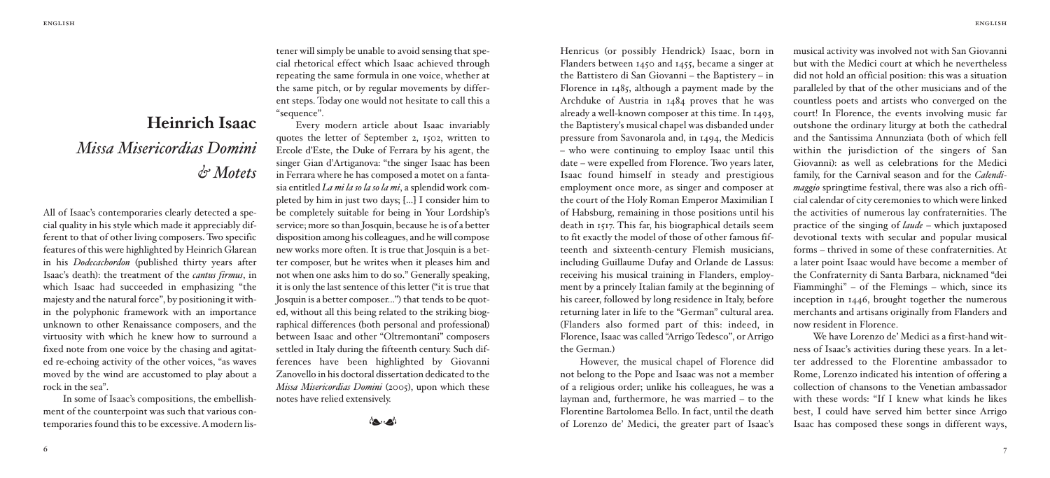# **Heinrich Isaac** *Missa Misericordias Domini & Motets*

All of Isaac's contemporaries clearly detected a special quality in his style which made it appreciably different to that of other living composers. Two specific features of this were highlighted by Heinrich Glarean in his *Dodecachordon* (published thirty years after Isaac's death): the treatment of the *cantus firmus*, in which Isaac had succeeded in emphasizing "the majesty and the natural force", by positioning it within the polyphonic framework with an importance unknown to other Renaissance composers, and the virtuosity with which he knew how to surround a fixed note from one voice by the chasing and agitated re-echoing activity of the other voices, "as waves moved by the wind are accustomed to play about a rock in the sea".

In some of Isaac's compositions, the embellishment of the counterpoint was such that various contemporaries found this to be excessive.A modern listener will simply be unable to avoid sensing that special rhetorical effect which Isaac achieved through repeating the same formula in one voice, whether at the same pitch, or by regular movements by different steps. Today one would not hesitate to call this a "sequence".

Every modern article about Isaac invariably quotes the letter of September 2, 1502, written to Ercole d'Este, the Duke of Ferrara by his agent, the singer Gian d'Artiganova: "the singer Isaac has been in Ferrara where he has composed a motet on a fantasia entitled *La mi la so la so la mi*, a splendid work completed by him in just two days; [...] I consider him to be completely suitable for being in Your Lordship's service; more so than Josquin, because he is of a better disposition among his colleagues, and hewill compose new works more often. It is true that Josquin is a better composer, but he writes when it pleases him and not when one asks him to do so." Generally speaking, it is only the last sentence of this letter ("it is true that Josquin is a better composer...") that tends to be quoted, without all this being related to the striking biographical differences (both personal and professional) between Isaac and other "Oltremontani" composers settled in Italy during the fifteenth century. Such differences have been highlighted by Giovanni Zanovello in his doctoral dissertation dedicated to the *Missa Misericordias Domini* (2005), upon which these notes have relied extensively.

إمجادها

Henricus (or possibly Hendrick) Isaac, born in Flanders between 1450 and 1455, became a singer at the Battistero di San Giovanni – the Baptistery – in Florence in 1485, although a payment made by the Archduke of Austria in 1484 proves that he was already a well-known composer at this time. In 1493, the Baptistery's musical chapel was disbanded under pressure from Savonarola and, in 1494, the Medicis – who were continuing to employ Isaac until this date – were expelled from Florence. Two years later, Isaac found himself in steady and prestigious employment once more, as singer and composer at the court of the Holy Roman Emperor Maximilian I of Habsburg, remaining in those positions until his death in 1517. This far, his biographical details seem to fit exactly the model of those of other famous fifteenth and sixteenth-century Flemish musicians, including Guillaume Dufay and Orlande de Lassus: receiving his musical training in Flanders, employment by a princely Italian family at the beginning of his career, followed by long residence in Italy, before returning later in life to the "German" cultural area. (Flanders also formed part of this: indeed, in Florence, Isaac was called "Arrigo Tedesco", or Arrigo the German.)

However, the musical chapel of Florence did not belong to the Pope and Isaac was not a member of a religious order; unlike his colleagues, he was a layman and, furthermore, he was married – to the Florentine Bartolomea Bello. In fact, until the death of Lorenzo de' Medici, the greater part of Isaac's

musical activity was involved not with San Giovanni but with the Medici court at which he nevertheless did not hold an official position: this was a situation paralleled by that of the other musicians and of the countless poets and artists who converged on the court! In Florence, the events involving music far outshone the ordinary liturgy at both the cathedral and the Santissima Annunziata (both of which fell within the jurisdiction of the singers of San Giovanni): as well as celebrations for the Medici family, for the Carnival season and for the *Calendimaggio* springtime festival, there was also a rich official calendar of city ceremonies to which were linked the activities of numerous lay confraternities. The practice of the singing of *laude* – which juxtaposed devotional texts with secular and popular musical forms – thrived in some of these confraternities. At a later point Isaac would have become a member of the Confraternity di Santa Barbara, nicknamed "dei Fiamminghi" – of the Flemings – which, since its inception in 1446, brought together the numerous merchants and artisans originally from Flanders and now resident in Florence.

We have Lorenzo de' Medici as a first-hand witness of Isaac's activities during these years. In a letter addressed to the Florentine ambassador to Rome, Lorenzo indicated his intention of offering a collection of chansons to the Venetian ambassador with these words: "If I knew what kinds he likes best, I could have served him better since Arrigo Isaac has composed these songs in different ways,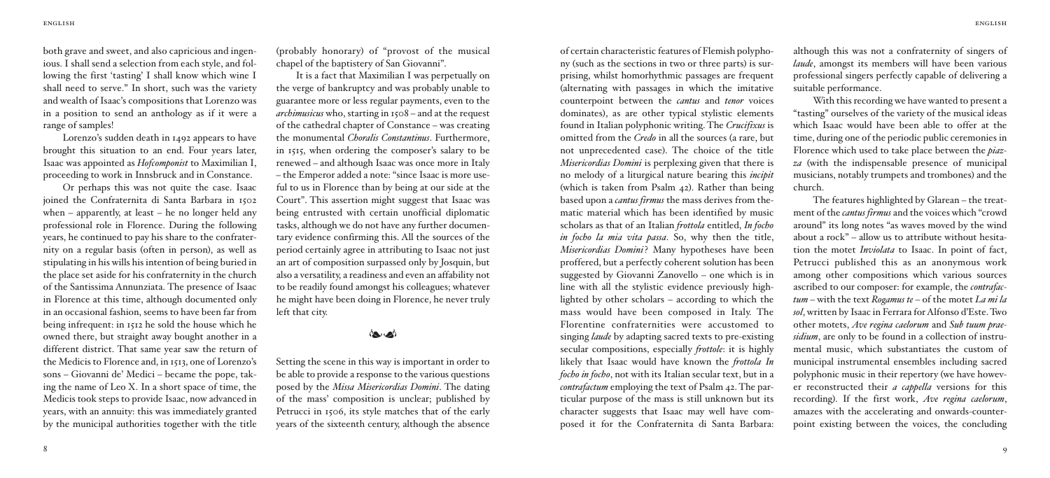both grave and sweet, and also capricious and ingenious. I shall send a selection from each style, and following the first 'tasting' I shall know which wine I shall need to serve." In short, such was the variety and wealth of Isaac's compositions that Lorenzo was in a position to send an anthology as if it were a range of samples!

Lorenzo's sudden death in 1492 appears to have brought this situation to an end. Four years later, Isaac was appointed as *Hofcomponist* to Maximilian I, proceeding to work in Innsbruck and in Constance.

Or perhaps this was not quite the case. Isaac joined the Confraternita di Santa Barbara in 1502 when – apparently, at least – he no longer held any professional role in Florence. During the following years, he continued to pay his share to the confraternity on a regular basis (often in person), as well as stipulating in his wills his intention of being buried in the place set aside for his confraternity in the church of the Santissima Annunziata. The presence of Isaac in Florence at this time, although documented only in an occasional fashion, seems to have been far from being infrequent: in 1512 he sold the house which he owned there, but straight away bought another in a different district. That same year saw the return of the Medicis to Florence and, in 1513, one of Lorenzo's sons – Giovanni de' Medici – became the pope, taking the name of Leo X. In a short space of time, the Medicis took steps to provide Isaac, now advanced in years, with an annuity: this was immediately granted by the municipal authorities together with the title

(probably honorary) of "provost of the musical chapel of the baptistery of San Giovanni".

It is a fact that Maximilian I was perpetually on the verge of bankruptcy and was probably unable to guarantee more or less regular payments, even to the *archimusicus* who, starting in 1508 – and at the request of the cathedral chapter of Constance – was creating the monumental *Choralis Constantinus*. Furthermore, in 1515, when ordering the composer's salary to be renewed – and although Isaac was once more in Italy – the Emperor added a note: "since Isaac is more useful to us in Florence than by being at our side at the Court". This assertion might suggest that Isaac was being entrusted with certain unofficial diplomatic tasks, although we do not have any further documentary evidence confirming this. All the sources of the period certainly agree in attributing to Isaac not just an art of composition surpassed only by Josquin, but also a versatility, a readiness and even an affability not to be readily found amongst his colleagues; whatever he might have been doing in Florence, he never truly left that city.

# إمجادها

Setting the scene in this way is important in order to be able to provide a response to the various questions posed by the *Missa Misericordias Domini*. The dating of the mass' composition is unclear; published by Petrucci in 1506, its style matches that of the early years of the sixteenth century, although the absence

ny (such as the sections in two or three parts) is surprising, whilst homorhythmic passages are frequent (alternating with passages in which the imitative counterpoint between the *cantus* and *tenor* voices dominates), as are other typical stylistic elements found in Italian polyphonic writing. The *Crucifixus* is omitted from the *Credo* in all the sources (a rare, but not unprecedented case). The choice of the title *Misericordias Domini* is perplexing given that there is no melody of a liturgical nature bearing this *incipit* (which is taken from Psalm 42). Rather than being based upon a *cantus firmus* the mass derives from thematic material which has been identified by music scholars as that of an Italian *frottola* entitled, *In focho in focho la mia vita passa*. So, why then the title, *Misericordias Domini*? Many hypotheses have been proffered, but a perfectly coherent solution has been suggested by Giovanni Zanovello – one which is in line with all the stylistic evidence previously highlighted by other scholars – according to which the mass would have been composed in Italy. The Florentine confraternities were accustomed to singing *laude* by adapting sacred texts to pre-existing secular compositions, especially *frottole*: it is highly likely that Isaac would have known the *frottola In focho in focho*, not with its Italian secular text, but in a *contrafactum* employing the text of Psalm 42. The particular purpose of the mass is still unknown but its character suggests that Isaac may well have com-

posed it for the Confraternita di Santa Barbara:

of certain characteristic features of Flemish polypho-

although this was not a confraternity of singers of *laude*, amongst its members will have been various professional singers perfectly capable of delivering a suitable performance.

With this recording we have wanted to present a "tasting" ourselves of the variety of the musical ideas which Isaac would have been able to offer at the time, during one of the periodic public ceremonies in Florence which used to take place between the *piazza* (with the indispensable presence of municipal musicians, notably trumpets and trombones) and the church.

The features highlighted by Glarean – the treatment of the *cantus firmus* and the voices which "crowd around" its long notes "as waves moved by the wind about a rock" – allow us to attribute without hesitation the motet *Inviolata* to Isaac. In point of fact, Petrucci published this as an anonymous work among other compositions which various sources ascribed to our composer: for example, the *contrafactum* – with the text *Rogamus te* – of the motet *La mi la sol*, written by Isaac in Ferrara forAlfonso d'Este.Two other motets, *Ave regina caelorum* and *Sub tuum praesidium*, are only to be found in a collection of instrumental music, which substantiates the custom of municipal instrumental ensembles including sacred polyphonic music in their repertory (we have however reconstructed their *a cappella* versions for this recording). If the first work, *Ave regina caelorum*, amazes with the accelerating and onwards-counterpoint existing between the voices, the concluding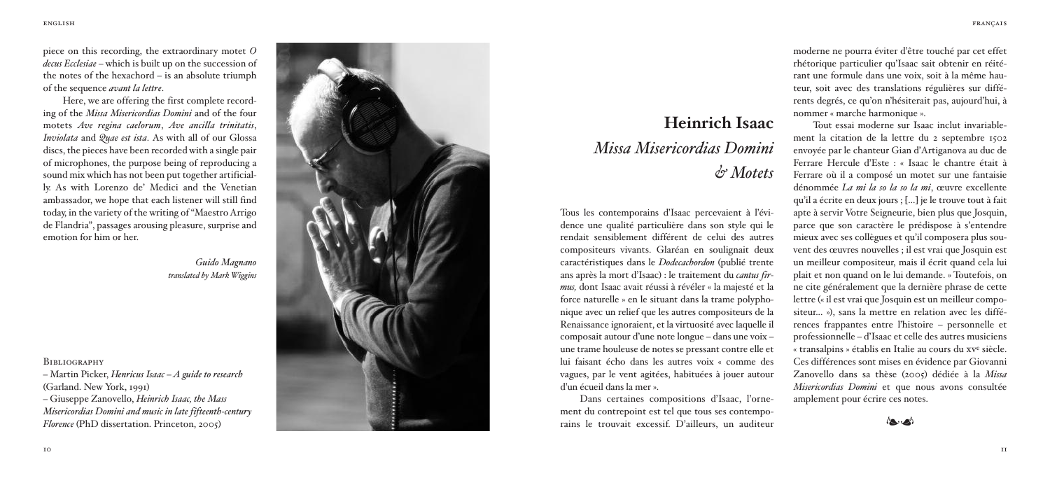ece on this recording, the extraordinary motet O *decus Ecclesiae* – which is built up on the succession of the notes of the hexachord  $-$  is an absolute triumph of the sequence *avant la lettre*.

pide the of individual models in the models of the production of the models of the models of the models of the models of the models of the models of the models of the models of the models of the models of the models of the Here, we are offering the first complete recording of the *Missa Misericordias Domini* and of the four motets Ave regina caelorum. Ave ancilla trinitatis. *Inviolata* and *Quae est ista*. As with all of our Glossa discs, the pieces have been recorded with a single pair of microphones, the purpose being of reproducing a sound mix which has not been put together artificially. As with Lorenzo de' Medici and the Venetian ambassador, we hope that each listener will still find today, in the variety of the writing of "Maestro Arrigo de Flandria", passages arousing pleasure, surprise and emotion for him or her.

*G u ido Magn a n o tra n s la te d by Ma rk Wiggin s*

**BIBLIOGRAPHY** 

*–* Martin Picker, Henricus Isaac – A quide to research (Garland, New York, 1991) – G i u s e p p e Z a n o v e l l o , *He in rich Isaa c, th e Mass* Misericordias Domini and music in late fifteenth-century *Florence* (PhD dissertation, Princeton, 2005)



# **Heinrich Isaac** *Missa Misericordias Domini & Mo te ts*

Tous les contemporains d'Isaac percevaient à l'évidence une qualité particulière dans son style qui le rendait sensiblement différent de celui des autres compositeurs vivants. Glaréan en soulignait deux caractéristiques dans le *Dodecacbordon* (publié trente ans après la mort d'Isaac) : le traitement du *cantus firmus,* dont Isaac avait réussi à révéler « la majesté et la force naturelle » en le situant dans la trame polypho nique avec un relief que les autres compositeurs de la Renaissance ignoraient, et la virtuosité avec laquelle il composait autour d'une note longue – dans une voix – une trame houleuse de notes se pressant contre elle et lui faisant écho dans les autres voix « comme des vagues, par le vent agitées, habituées à jouer autour d'un écueil dans la mer ».

Dans certaines compositions d'Isaac, l'orne ment du contrepoint est tel que tous ses contempo rains le trouvait excessif. D'ailleurs, un auditeur moderne ne pourra éviter d'être touché par cet effet rhétorique particulier qu'Isaac sait obtenir en réitérant une formule dans une voix, soit à la même hauteur, soit avec des translations régulières sur différents degrés, ce qu'on n'hésiterait pas, aujourd'hui, à nommer « marche harmonique ».

Tout essai moderne sur Isaac inclut invariablement la citation de la lettre du 2 septembre 1502 envovée par le chanteur Gian d'Artiganova au duc de Ferrare Hercule d'Este : « Isaac le chantre était à Ferrare où il a composé un motet sur une fantaisie dénommée *La mi la so la so la mi*, œuvre excellente qu'il a écrite en deux jours : [...] je le trouve tout à fait apte à servir Votre Seigneurie, bien plus que Josquin. parce que son caractère le prédispose à s'entendre mieux avec ses collègues et qu'il composera plus souvent des œuvres nouvelles : il est vrai que Josquin est un meilleur compositeur, mais il écrit quand cela lui plait et non quand on le lui demande. » Toutefois, on ne cite généralement que la dernière phrase de cette lettre (« il est vrai que Iosquin est un meilleur compositeur... »), sans la mettre en relation avec les différences frappantes entre l'histoire – personnelle et professionnelle – d'Isaac et celle des autres musiciens « transalpins » établis en Italie au cours du xve siècle. Ces différences sont mises en évidence par Giovanni Zanovello dans sa thèse (2005) dédiée à la Missa Misericordias Domini et que nous avons consultée amplement pour écrire ces notes.

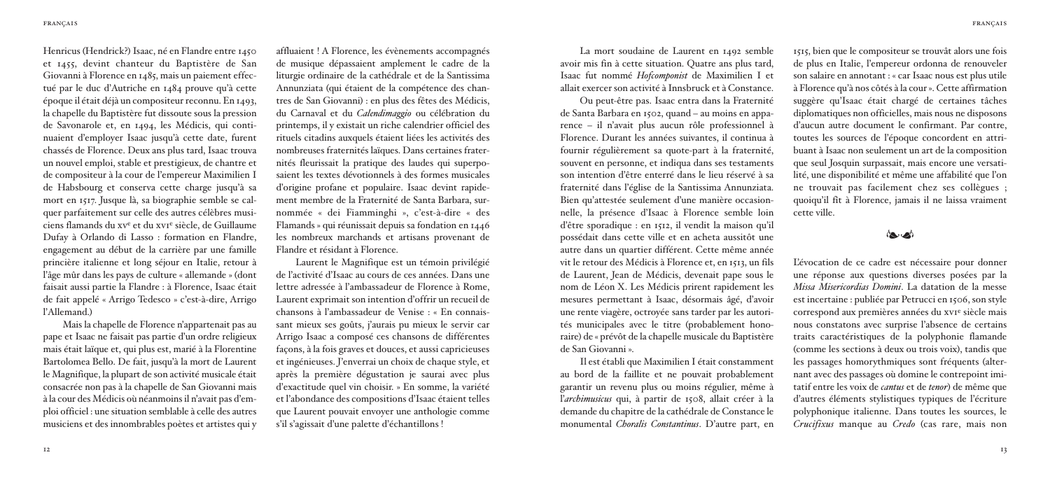Henricus (Hendrick?) Isaac, né en Flandre entre 1450 et 1455, devint chanteur du Baptistère de San Giovanni à Florence en 1485, mais un paiement effectué par le duc d'Autriche en 1484 prouve qu'à cette époque il était déjà un compositeur reconnu. En 1493, la chapelle du Baptistère fut dissoute sous la pression de Savonarole et, en 1494, les Médicis, qui continuaient d'employer Isaac jusqu'à cette date, furent chassés de Florence. Deux ans plus tard, Isaac trouva un nouvel emploi, stable et prestigieux, de chantre et de compositeur à la cour de l'empereur Maximilien I de Habsbourg et conserva cette charge jusqu'à sa mort en 1517. Jusque là, sa biographie semble se calquer parfaitement sur celle des autres célèbres musiciens flamands du xve et du xvie siècle, de Guillaume Dufay à Orlando di Lasso : formation en Flandre, engagement au début de la carrière par une famille princière italienne et long séjour en Italie, retour à l'âge mûr dans les pays de culture « allemande » (dont faisait aussi partie la Flandre : à Florence, Isaac était de fait appelé « Arrigo Tedesco » c'est-à-dire, Arrigo l'Allemand.)

Mais la chapelle de Florence n'appartenait pas au pape et Isaac ne faisait pas partie d'un ordre religieux mais était laïque et, qui plus est, marié à la Florentine Bartolomea Bello. De fait, jusqu'à la mort de Laurent le Magnifique, la plupart de son activité musicale était consacrée non pas à la chapelle de San Giovanni mais à la cour des Médicis où néanmoinsil n'avait pas d'emploi officiel : une situation semblable à celle des autres musiciens et des innombrables poètes et artistes qui y

affluaient ! A Florence, les évènements accompagnés de musique dépassaient amplement le cadre de la liturgie ordinaire de la cathédrale et de la Santissima Annunziata (qui étaient de la compétence des chantres de San Giovanni) : en plus des fêtes des Médicis, du Carnaval et du *Calendimaggio* ou célébration du printemps, il y existait un riche calendrier officiel des rituels citadins auxquels étaient liées les activités des nombreuses fraternités laïques. Dans certaines fraternités fleurissait la pratique des laudes qui superposaient les textes dévotionnels à des formes musicales d'origine profane et populaire. Isaac devint rapidement membre de la Fraternité de Santa Barbara, surnommée « dei Fiamminghi », c'est-à-dire « des Flamands » qui réunissait depuis sa fondation en 1446 les nombreux marchands et artisans provenant de Flandre et résidant à Florence.

Laurent le Magnifique est un témoin privilégié de l'activité d'Isaac au cours de ces années. Dans une lettre adressée à l'ambassadeur de Florence à Rome, Laurent exprimait son intention d'offrir un recueil de chansons à l'ambassadeur de Venise : « En connaissant mieux ses goûts, j'aurais pu mieux le servir car Arrigo Isaac a composé ces chansons de différentes façons, à la fois graves et douces, et aussi capricieuses et ingénieuses. J'enverrai un choix de chaque style, et après la première dégustation je saurai avec plus d'exactitude quel vin choisir. » En somme, la variété et l'abondance des compositions d'Isaac étaient telles que Laurent pouvait envoyer une anthologie comme s'il s'agissait d'une palette d'échantillons !

La mort soudaine de Laurent en 1492 semble avoir mis fin à cette situation. Quatre ans plus tard, Isaac fut nommé *Hofcomponist* de Maximilien I et allait exercerson activité à Innsbruck et à Constance.

Ou peut-être pas. Isaac entra dans la Fraternité de Santa Barbara en 1502, quand – au moins en apparence – il n'avait plus aucun rôle professionnel à Florence. Durant les années suivantes, il continua à fournir régulièrement sa quote-part à la fraternité, souvent en personne, et indiqua dans ses testaments son intention d'être enterré dans le lieu réservé à sa fraternité dans l'église de la Santissima Annunziata. Bien qu'attestée seulement d'une manière occasionnelle, la présence d'Isaac à Florence semble loin d'être sporadique : en 1512, il vendit la maison qu'il possédait dans cette ville et en acheta aussitôt une autre dans un quartier différent. Cette même année vit le retour des Médicis à Florence et, en 1513, un fils de Laurent, Jean de Médicis, devenait pape sous le nom de Léon X. Les Médicis prirent rapidement les mesures permettant à Isaac, désormais âgé, d'avoir une rente viagère, octroyée sans tarder par les autorités municipales avec le titre (probablement honoraire) de « prévôt de la chapelle musicale du Baptistère de San Giovanni ».

Il est établi que Maximilien I était constamment au bord de la faillite et ne pouvait probablement garantir un revenu plus ou moins régulier, même à l'*archimusicus* qui, à partir de 1508, allait créer à la demande du chapitre de la cathédrale de Constance le monumental *Choralis Constantinus*. D'autre part, en 1515, bien que le compositeur se trouvât alors une fois de plus en Italie, l'empereur ordonna de renouveler son salaire en annotant : « car Isaac nous est plus utile à Florence qu'à nos côtés à la cour». Cette affirmation suggère qu'Isaac était chargé de certaines tâches diplomatiques non officielles, mais nous ne disposons d'aucun autre document le confirmant. Par contre, toutes les sources de l'époque concordent en attribuant à Isaac non seulement un art de la composition que seul Josquin surpassait, mais encore une versatilité, une disponibilité et même une affabilité que l'on ne trouvait pas facilement chez ses collègues ; quoiqu'il fît à Florence, jamais il ne laissa vraiment cette ville.



L'évocation de ce cadre est nécessaire pour donner une réponse aux questions diverses posées par la *Missa Misericordias Domini*. La datation de la messe est incertaine : publiée par Petrucci en 1506, son style correspond aux premières années du xvie siècle mais nous constatons avec surprise l'absence de certains traits caractéristiques de la polyphonie flamande (comme les sections à deux ou trois voix), tandis que les passages homorythmiques sont fréquents (alternant avec des passages où domine le contrepoint imitatif entre les voix de *cantus* et de *tenor*) de même que d'autres éléments stylistiques typiques de l'écriture polyphonique italienne. Dans toutes les sources, le *Crucifixus* manque au *Credo* (cas rare, mais non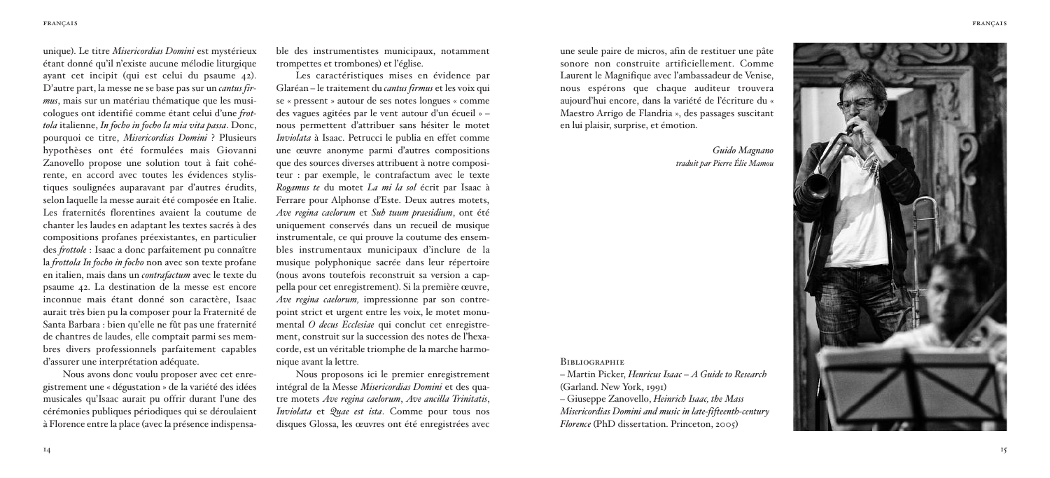unique). Le titre *Misericordias Domini* est mystérieux étant donné qu'il n'existe aucune mélodie liturgique ayant cet incipit (qui est celui du psaume 42). D'autre part, la messe ne se base pas sur un *cantus firmus*, mais sur un matériau thématique que les musi cologues ont identifié comme étant celui d'une *frot tola* italienne, *In focho in focho la mia vita passa*. Donc, pourquoi ce titre, *Misericordias Domini* ? Plusieurs hypothèses ont été formulées mais Giovanni Zanovello propose une solution tout à fait cohé rente, en accord avec toutes les évidences stylis tiques soulignées auparavant par d'autres érudits, selon laquelle la messe aurait été composée en Italie. Les fraternités florentines avaient la coutume de chanter les laudes en adaptant les textes sacrés à des compositions profanes préexistantes, en particulier des *frottole* : Isaac a donc parfaitement pu connaître la *frottola In focho in focho* non avec son texte profane en italien, mais dans un *contrafactum* avec le texte du psaume 42. La destination de la messe est encore inconnue mais étant donné son caractère, Isaac aurait très bien pu la composer pour la Fraternité de Santa Barbara : bien qu'elle ne fût pas une fraternité de chantres de laudes*,* elle comptait parmi ses mem bres divers professionnels parfaitement capables d'assurer une interprétation adéquate.

Nous avons donc voulu proposer avec cet enre gistrement une « dégustation » de la variété des idées musicales qu'Isaac aurait pu offrir durant l'une des cérémonies publiques périodiques qui se déroulaient à Florence entre la place (avec la présence indispensable des instrumentistes municipaux, notamment trompettes et trombones) et l'église.

Les caractéristiques mises en évidence par Glaréan - le traitement du *cantus firmus* et les voix qui se « pressent » autour de ses notes longues « comme des vagues agitées par le vent autour d'un écueil » nous permettent d'attribuer sans hésiter le motet *Inviolata* à Isaac. Petrucci le publia en effet comme une œuvre anonyme parmi d'autres compositions que des sources diverses attribuent à notre compositeur : par exemple, le contrafactum avec le texte *Rogamus te* du motet *La mi la sol* écrit par Isaac à Ferrare pour Alphonse d'Este. Deux autres motets. Ave regina caelorum et Sub tuum praesidium, ont été uniquement conservés dans un recueil de musique instrumentale, ce qui prouve la coutume des ensembles instrumentaux municipaux d'inclure de la musique polyphonique sacrée dans leur répertoire (nous avons toutefois reconstruit sa version a cappella pour cet enregistrement). Si la première œuvre. *Ave regina caelorum*, impressionne par son contrepoint strict et urgent entre les voix, le motet monumental *O* decus Ecclesiae qui conclut cet enregistrement, construit sur la succession des notes de l'hexacorde, est un véritable triomphe de la marche harmonique avant la lettre.

Nous proposons ici le premier enregistrement intégral de la Messe Misericordias Domini et des quatre motets Ave regina caelorum. Ave ancilla Trinitatis. *Inviolata* et *Quae est ista*. Comme pour tous nos disques Glossa, les œuvres ont été enregistrées avec une seule paire de micros, afin de restituer une pâte sonore non construite artificiellement. Comme Laurent le Magnifique avec l'ambassadeur de Venise, nous espérons que chaque auditeur trouvera aujourd'hui encore, dans la variété de l'écriture du « Maestro Arrigo de Flandria », des passages suscitant en lui plaisir, surprise, et émotion.

> Guido Magnano *tra du it p a r Pie rre É lie Mam o u*

## **BIBLIOGRAPHIE**

*–* Martin Picker, Henricus Isaac – A Guide to Research (Garland, New York, 1991)

– G i u s e p p e Z a n o v e l l o , *He in rich Isaa c, th e Mass* Misericordias Domini and music in late-fifteenth-century *Florence* (PhD dissertation, Princeton, 2005)



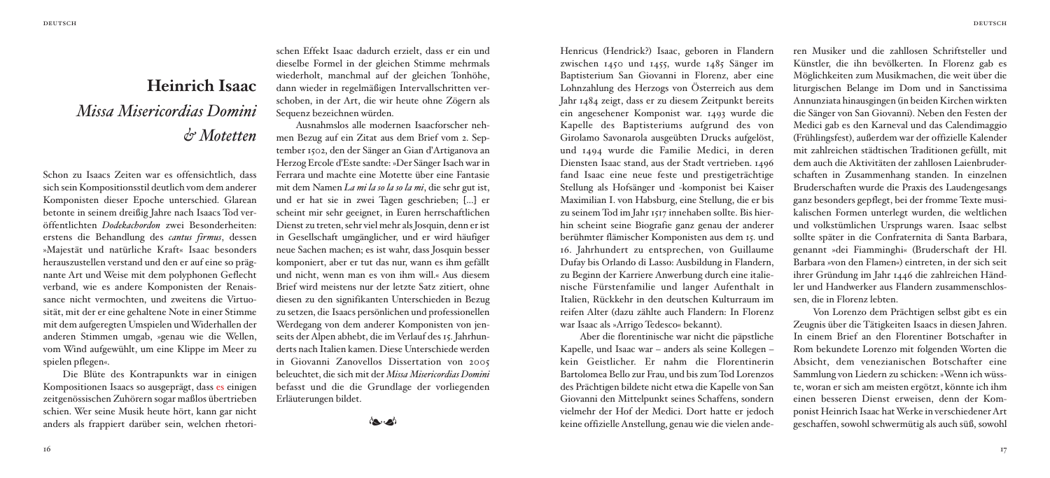# **Heinrich Isaac** *Missa Misericordias Domini & Motetten*

Schon zu Isaacs Zeiten war es offensichtlich, dass sich sein Kompositionsstil deutlich vom dem anderer Komponisten dieser Epoche unterschied. Glarean betonte in seinem dreißig Jahre nach Isaacs Tod veröffentlichten *Dodekachordon* zwei Besonderheiten: erstens die Behandlung des *cantus firmus*, dessen »Majestät und natürliche Kraft« Isaac besonders herauszustellen verstand und den er auf eine so prägnante Art und Weise mit dem polyphonen Geflecht verband, wie es andere Komponisten der Renaissance nicht vermochten, und zweitens die Virtuosität, mit der er eine gehaltene Note in einer Stimme mit dem aufgeregten Umspielen undWiderhallen der anderen Stimmen umgab, »genau wie die Wellen, vom Wind aufgewühlt, um eine Klippe im Meer zu spielen pflegen«.

Die Blüte des Kontrapunkts war in einigen Kompositionen Isaacs so ausgeprägt, dass es einigen zeitgenössischen Zuhörern sogar maßlos übertrieben schien. Wer seine Musik heute hört, kann gar nicht anders als frappiert darüber sein, welchen rhetorischen Effekt Isaac dadurch erzielt, dass er ein und dieselbe Formel in der gleichen Stimme mehrmals wiederholt, manchmal auf der gleichen Tonhöhe, dann wieder in regelmäßigen Intervallschritten verschoben, in der Art, die wir heute ohne Zögern als Sequenz bezeichnen würden.

Ausnahmslos alle modernen Isaacforscher nehmen Bezug auf ein Zitat aus dem Brief vom 2. September 1502, den der Sänger an Gian d'Artiganova an Herzog Ercole d'Este sandte:»Der Sänger Isach warin Ferrara und machte eine Motette über eine Fantasie mit dem Namen *La mi la so la so la mi*, die sehr gut ist, und er hat sie in zwei Tagen geschrieben; [...] er scheint mir sehr geeignet, in Euren herrschaftlichen Dienst zu treten, sehr viel mehr als Josquin, denn er ist in Gesellschaft umgänglicher, und er wird häufiger neue Sachen machen; es ist wahr, dass Josquin besser komponiert, aber er tut das nur, wann es ihm gefällt und nicht, wenn man es von ihm will.« Aus diesem Brief wird meistens nur der letzte Satz zitiert, ohne diesen zu den signifikanten Unterschieden in Bezug zu setzen, die Isaacs persönlichen und professionellen Werdegang von dem anderer Komponisten von jenseits der Alpen abhebt, die im Verlauf des 15. Jahrhunderts nach Italien kamen. Diese Unterschiede werden in Giovanni Zanovellos Dissertation von 2005 beleuchtet, die sich mit der *Missa Misericordias Domini* befasst und die die Grundlage der vorliegenden Erläuterungen bildet.

إمجادها

Henricus (Hendrick?) Isaac, geboren in Flandern zwischen 1450 und 1455, wurde 1485 Sänger im Baptisterium San Giovanni in Florenz, aber eine Lohnzahlung des Herzogs von Österreich aus dem Jahr 1484 zeigt, dass er zu diesem Zeitpunkt bereits ein angesehener Komponist war. 1493 wurde die Kapelle des Baptisteriums aufgrund des von Girolamo Savonarola ausgeübten Drucks aufgelöst, und 1494 wurde die Familie Medici, in deren Diensten Isaac stand, aus der Stadt vertrieben. 1496 fand Isaac eine neue feste und prestigeträchtige Stellung als Hofsänger und -komponist bei Kaiser Maximilian I. von Habsburg, eine Stellung, die er bis zu seinem Tod im Jahr 1517 innehaben sollte. Bis hierhin scheint seine Biografie ganz genau der anderer berühmter flämischer Komponisten aus dem 15. und 16. Jahrhundert zu entsprechen, von Guillaume Dufay bis Orlando di Lasso: Ausbildung in Flandern, zu Beginn der Karriere Anwerbung durch eine italienische Fürstenfamilie und langer Aufenthalt in Italien, Rückkehr in den deutschen Kulturraum im reifen Alter (dazu zählte auch Flandern: In Florenz war Isaac als »Arrigo Tedesco« bekannt).

Aber die florentinische war nicht die päpstliche Kapelle, und Isaac war – anders als seine Kollegen – kein Geistlicher. Er nahm die Florentinerin Bartolomea Bello zur Frau, und bis zum Tod Lorenzos des Prächtigen bildete nicht etwa die Kapelle von San Giovanni den Mittelpunkt seines Schaffens, sondern vielmehr der Hof der Medici. Dort hatte er jedoch keine offizielleAnstellung, genau wie die vielen anderen Musiker und die zahllosen Schriftsteller und Künstler, die ihn bevölkerten. In Florenz gab es Möglichkeiten zum Musikmachen, die weit über die liturgischen Belange im Dom und in Sanctissima Annunziata hinausgingen (in beiden Kirchen wirkten die Sänger von San Giovanni). Neben den Festen der Medici gab es den Karneval und das Calendimaggio (Frühlingsfest), außerdem war der offizielle Kalender mit zahlreichen städtischen Traditionen gefüllt, mit dem auch die Aktivitäten der zahllosen Laienbruderschaften in Zusammenhang standen. In einzelnen Bruderschaften wurde die Praxis des Laudengesangs ganz besonders gepflegt, bei der fromme Texte musikalischen Formen unterlegt wurden, die weltlichen und volkstümlichen Ursprungs waren. Isaac selbst sollte später in die Confraternita di Santa Barbara, genannt »dei Fiamminghi« (Bruderschaft der Hl. Barbara »von den Flamen«) eintreten, in der sich seit ihrer Gründung im Jahr 1446 die zahlreichen Händler und Handwerker aus Flandern zusammenschlossen, die in Florenz lebten.

Von Lorenzo dem Prächtigen selbst gibt es ein Zeugnis über die Tätigkeiten Isaacs in diesen Jahren. In einem Brief an den Florentiner Botschafter in Rom bekundete Lorenzo mit folgenden Worten die Absicht, dem venezianischen Botschafter eine Sammlung von Liedern zu schicken: »Wenn ich wüsste, woran er sich am meisten ergötzt, könnte ich ihm einen besseren Dienst erweisen, denn der Komponist Heinrich Isaac hatWerke in verschiedenerArt geschaffen, sowohl schwermütig als auch süß, sowohl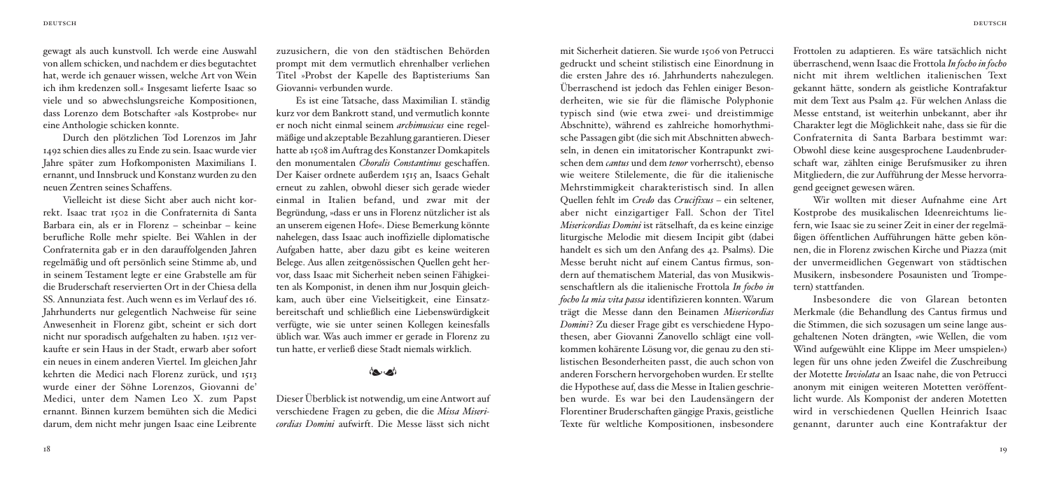gewagt als auch kunstvoll. Ich werde eine Auswahl von allem schicken, und nachdem er dies begutachtet hat, werde ich genauer wissen, welche Art von Wein ich ihm kredenzen soll.« Insgesamt lieferte Isaac so viele und so abwechslungsreiche Kompositionen, dass Lorenzo dem Botschafter »als Kostprobe« nur eine Anthologie schicken konnte.

Durch den plötzlichen Tod Lorenzos im Jahr 1492 schien dies alles zu Ende zu sein. Isaac wurde vier Jahre später zum Hofkomponisten Maximilians I. ernannt, und Innsbruck und Konstanz wurden zu den neuen Zentren seines Schaffens.

Vielleicht ist diese Sicht aber auch nicht korrekt. Isaac trat 1502 in die Confraternita di Santa Barbara ein, als er in Florenz – scheinbar – keine berufliche Rolle mehr spielte. Bei Wahlen in der Confraternita gab er in den darauffolgenden Jahren regelmäßig und oft persönlich seine Stimme ab, und in seinem Testament legte er eine Grabstelle am für die Bruderschaft reservierten Ort in der Chiesa della SS. Annunziata fest. Auch wenn es im Verlauf des 16. Jahrhunderts nur gelegentlich Nachweise für seine Anwesenheit in Florenz gibt, scheint er sich dort nicht nur sporadisch aufgehalten zu haben. 1512 verkaufte er sein Haus in der Stadt, erwarb aber sofort ein neues in einem anderen Viertel. Im gleichen Jahr kehrten die Medici nach Florenz zurück, und 1513 wurde einer der Söhne Lorenzos, Giovanni de' Medici, unter dem Namen Leo X. zum Papst ernannt. Binnen kurzem bemühten sich die Medici darum, dem nicht mehr jungen Isaac eine Leibrente

zuzusichern, die von den städtischen Behörden prompt mit dem vermutlich ehrenhalber verliehen Titel »Probst der Kapelle des Baptisteriums San Giovanni« verbunden wurde.

Es ist eine Tatsache, dass Maximilian I. ständig kurz vor dem Bankrott stand, und vermutlich konnte er noch nicht einmal seinem *archimusicus* eine regelmäßige und akzeptable Bezahlung garantieren. Dieser hatte ab 1508 imAuftrag des Konstanzer Domkapitels den monumentalen *Choralis Constantinus* geschaffen. Der Kaiser ordnete außerdem 1515 an, Isaacs Gehalt erneut zu zahlen, obwohl dieser sich gerade wieder einmal in Italien befand, und zwar mit der Begründung, »dass er uns in Florenz nützlicher ist als an unserem eigenen Hofe«. Diese Bemerkung könnte nahelegen, dass Isaac auch inoffizielle diplomatische Aufgaben hatte, aber dazu gibt es keine weiteren Belege. Aus allen zeitgenössischen Quellen geht hervor, dass Isaac mit Sicherheit neben seinen Fähigkeiten als Komponist, in denen ihm nur Josquin gleichkam, auch über eine Vielseitigkeit, eine Einsatzbereitschaft und schließlich eine Liebenswürdigkeit verfügte, wie sie unter seinen Kollegen keinesfalls üblich war. Was auch immer er gerade in Florenz zu tun hatte, er verließ diese Stadt niemals wirklich.

# إمجادها

Dieser Überblick ist notwendig, um eineAntwort auf verschiedene Fragen zu geben, die die *Missa Misericordias Domini* aufwirft. Die Messe lässt sich nicht

mit Sicherheit datieren. Sie wurde 1506 von Petrucci gedruckt und scheint stilistisch eine Einordnung in die ersten Jahre des 16. Jahrhunderts nahezulegen. Überraschend ist jedoch das Fehlen einiger Besonderheiten, wie sie für die flämische Polyphonie typisch sind (wie etwa zwei- und dreistimmige Abschnitte), während es zahlreiche homorhythmische Passagen gibt (die sich mitAbschnitten abwechseln, in denen ein imitatorischer Kontrapunkt zwischen dem *cantus* und dem *tenor* vorherrscht), ebenso wie weitere Stilelemente, die für die italienische Mehrstimmigkeit charakteristisch sind. In allen Quellen fehlt im *Credo* das *Crucifixus* – ein seltener, aber nicht einzigartiger Fall. Schon der Titel *Misericordias Domini* ist rätselhaft, da es keine einzige liturgische Melodie mit diesem Incipit gibt (dabei handelt es sich um den Anfang des 42. Psalms). Die Messe beruht nicht auf einem Cantus firmus, sondern auf thematischem Material, das von Musikwissenschaftlern als die italienische Frottola *In focho in focho la mia vita passa* identifizieren konnten. Warum trägt die Messe dann den Beinamen *Misericordias Domini*? Zu dieser Frage gibt es verschiedene Hypothesen, aber Giovanni Zanovello schlägt eine vollkommen kohärente Lösung vor, die genau zu den stilistischen Besonderheiten passt, die auch schon von anderen Forschern hervorgehoben wurden. Er stellte die Hypothese auf, dass die Messe in Italien geschrieben wurde. Es war bei den Laudensängern der Florentiner Bruderschaften gängige Praxis, geistliche Texte für weltliche Kompositionen, insbesondere

Frottolen zu adaptieren. Es wäre tatsächlich nicht überraschend, wenn Isaac die Frottola *In focho in focho* nicht mit ihrem weltlichen italienischen Text gekannt hätte, sondern als geistliche Kontrafaktur mit dem Text aus Psalm 42. Für welchen Anlass die Messe entstand, ist weiterhin unbekannt, aber ihr Charakter legt die Möglichkeit nahe, dass sie für die Confraternita di Santa Barbara bestimmt war: Obwohl diese keine ausgesprochene Laudenbruderschaft war, zählten einige Berufsmusiker zu ihren Mitgliedern, die zur Aufführung der Messe hervorragend geeignet gewesen wären.

Wir wollten mit dieser Aufnahme eine Art Kostprobe des musikalischen Ideenreichtums liefern, wie Isaac sie zu seiner Zeit in einer der regelmäßigen öffentlichen Aufführungen hätte geben können, die in Florenz zwischen Kirche und Piazza (mit der unvermeidlichen Gegenwart von städtischen Musikern, insbesondere Posaunisten und Trompetern) stattfanden.

Insbesondere die von Glarean betonten Merkmale (die Behandlung des Cantus firmus und die Stimmen, die sich sozusagen um seine lange ausgehaltenen Noten drängten, »wie Wellen, die vom Wind aufgewühlt eine Klippe im Meer umspielen«) legen für uns ohne jeden Zweifel die Zuschreibung der Motette *Inviolata* an Isaac nahe, die von Petrucci anonym mit einigen weiteren Motetten veröffentlicht wurde. Als Komponist der anderen Motetten wird in verschiedenen Quellen Heinrich Isaac genannt, darunter auch eine Kontrafaktur der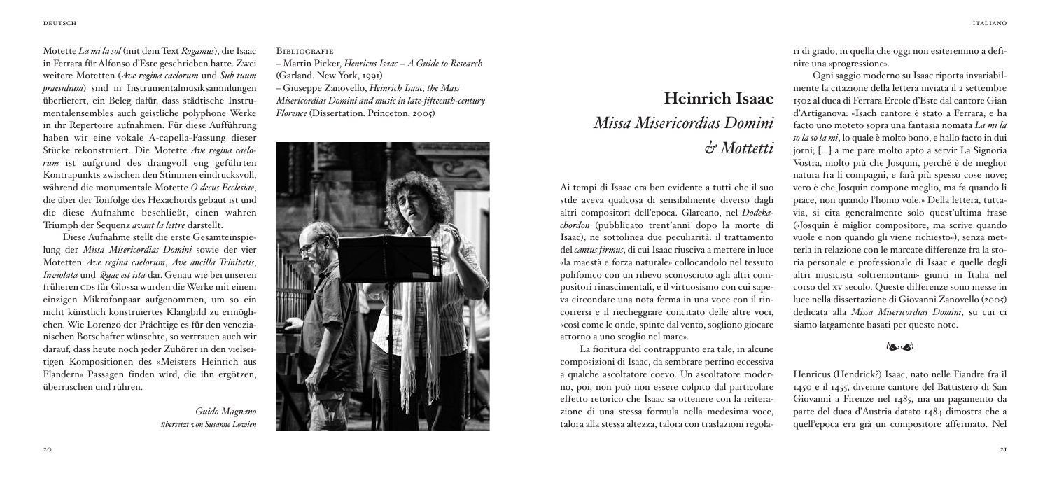Motette *La mi la sol* (mit dem Text *Rogamus*), die Isaac in Ferrara für Alfonso d'Este geschrieben hatte. Zwei weitere Motetten (*Ave regina caelorum* und *Sub tuum praesidium*) sind in Instrumentalmusiksammlungen überliefert, ein Beleg dafür, dass städtische Instrumentalensembles auch geistliche polyphone Werke in ihr Repertoire aufnahmen. Für diese Aufführung haben wir eine vokale A-capella-Fassung dieser Stücke rekonstruiert. Die Motette *Ave regina caelorum* ist aufgrund des drangvoll eng geführten Kontrapunkts zwischen den Stimmen eindrucksvoll, während die monumentale Motette *O decus Ecclesiae*, die über der Tonfolge des Hexachords gebaut ist und die diese Aufnahme beschließt, einen wahren Triumph der Sequenz *avant la lettre* darstellt.

Diese Aufnahme stellt die erste Gesamteinspielung der *Missa Misericordias Domini* sowie der vier Motetten *Ave regina caelorum*, *Ave ancilla Trinitatis*, *Inviolata* und *Quae est ista* dar. Genau wie bei unseren früheren  $\cos$  für Glossa wurden die Werke mit einem einzigen Mikrofonpaar aufgenommen, um so ein nicht künstlich konstruiertes Klangbild zu ermöglichen. Wie Lorenzo der Prächtige es für den venezianischen Botschafter wünschte, so vertrauen auch wir darauf, dass heute noch jeder Zuhörer in den vielseitigen Kompositionen des »Meisters Heinrich aus Flandern« Passagen finden wird, die ihn ergötzen, überraschen und rühren.

*Guido Magnano übersetzt von Susanne Lowien*

**BIBLIOGRAFIE** 

– Martin Picker, *Henricus Isaac* – *A Guide to Research* (Garland. New York, 1991)

– Giuseppe Zanovello, *Heinrich Isaac, the Mass Misericordias Domini and music in late-fifteenth-century Florence* (Dissertation. Princeton, 2005)



# **Heinrich Isaac** *Missa Misericordias Domini & Mottetti*

Ai tempi di Isaac era ben evidente a tutti che il suo stile aveva qualcosa di sensibilmente diverso dagli altri compositori dell'epoca. Glareano, nel *Dodekachordon* (pubblicato trent'anni dopo la morte di Isaac), ne sottolinea due peculiarità: il trattamento del *cantus firmus*, di cui Isaac riusciva a mettere in luce «la maestà e forza naturale» collocandolo nel tessuto polifonico con un rilievo sconosciuto agli altri compositori rinascimentali, e il virtuosismo con cui sapeva circondare una nota ferma in una voce con il rincorrersi e il riecheggiare concitato delle altre voci, «così come le onde, spinte dal vento, sogliono giocare attorno a uno scoglio nel mare».

La fioritura del contrappunto era tale, in alcune composizioni di Isaac, da sembrare perfino eccessiva a qualche ascoltatore coevo. Un ascoltatore moderno, poi, non può non essere colpito dal particolare effetto retorico che Isaac sa ottenere con la reiterazione di una stessa formula nella medesima voce, talora alla stessa altezza, talora con traslazioni regolari di grado, in quella che oggi non esiteremmo a definire una «progressione».

Ogni saggio moderno su Isaac riporta invariabilmente la citazione della lettera inviata il 2 settembre 1502 al duca di Ferrara Ercole d'Este dal cantore Gian d'Artiganova: «Isach cantore è stato a Ferrara, e ha facto uno moteto sopra una fantasia nomata *La mi la so la so la mi*, lo quale è molto bono, e hallo facto in dui jorni; [...] a me pare molto apto a servir La Signoria Vostra, molto più che Josquin, perché è de meglior natura fra li compagni, e farà più spesso cose nove; vero è che Josquin compone meglio, ma fa quando li piace, non quando l'homo vole.» Della lettera, tuttavia, si cita generalmente solo quest'ultima frase («Josquin è miglior compositore, ma scrive quando vuole e non quando gli viene richiesto»), senza metterla in relazione con le marcate differenze fra la storia personale e professionale di Isaac e quelle degli altri musicisti «oltremontani» giunti in Italia nel corso del xv secolo. Queste differenze sono messe in luce nella dissertazione di Giovanni Zanovello (2005) dedicata alla *Missa Misericordias Domini*, su cui ci siamo largamente basati per queste note.

# إمجادها

Henricus (Hendrick?) Isaac, nato nelle Fiandre fra il 1450 e il 1455, divenne cantore del Battistero di San Giovanni a Firenze nel 1485, ma un pagamento da parte del duca d'Austria datato 1484 dimostra che a quell'epoca era già un compositore affermato. Nel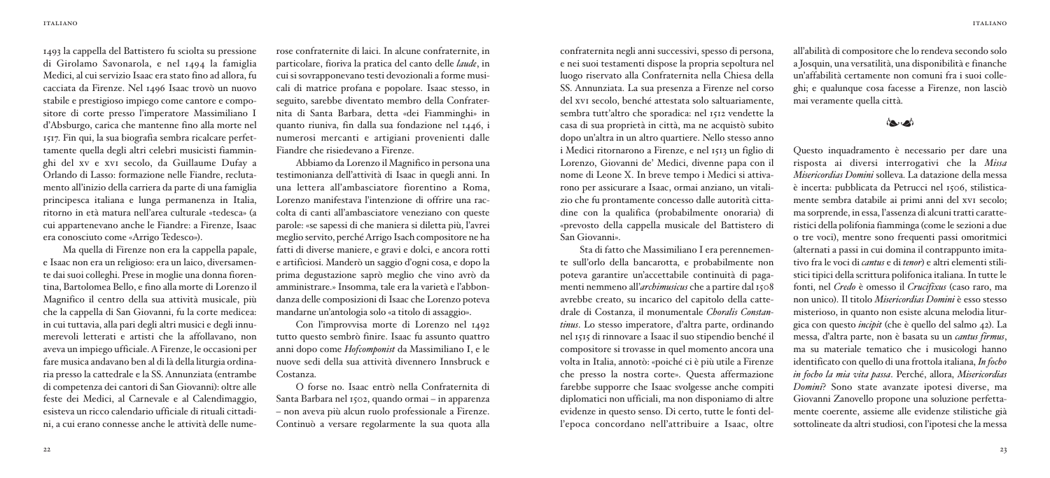1493 la cappella del Battistero fu sciolta su pressione di Girolamo Savonarola, e nel 1494 la famiglia Medici, al cui servizio Isaac era stato fino ad allora, fu cacciata da Firenze. Nel 1496 Isaac trovò un nuovo stabile e prestigioso impiego come cantore e compositore di corte presso l'imperatore Massimiliano I d'Absburgo, carica che mantenne fino alla morte nel 1517. Fin qui, la sua biografia sembra ricalcare perfettamente quella degli altri celebri musicisti fiamminghi del xv e xvi secolo, da Guillaume Dufay a Orlando di Lasso: formazione nelle Fiandre, reclutamento all'inizio della carriera da parte di una famiglia principesca italiana e lunga permanenza in Italia, ritorno in età matura nell'area culturale «tedesca» (a cui appartenevano anche le Fiandre: a Firenze, Isaac era conosciuto come «Arrigo Tedesco»).

Ma quella di Firenze non era la cappella papale, e Isaac non era un religioso: era un laico, diversamente dai suoi colleghi. Prese in moglie una donna fiorentina, Bartolomea Bello, e fino alla morte di Lorenzo il Magnifico il centro della sua attività musicale, più che la cappella di San Giovanni, fu la corte medicea: in cui tuttavia, alla pari degli altri musici e degli innumerevoli letterati e artisti che la affollavano, non aveva un impiego ufficiale. A Firenze, le occasioni per fare musica andavano ben al di là della liturgia ordinaria presso la cattedrale e la SS. Annunziata (entrambe di competenza dei cantori di San Giovanni): oltre alle feste dei Medici, al Carnevale e al Calendimaggio, esisteva un ricco calendario ufficiale di rituali cittadini, a cui erano connesse anche le attività delle nume-

rose confraternite di laici. In alcune confraternite, in particolare, fioriva la pratica del canto delle *laude*, in cuisisovrapponevano testi devozionali a forme musicali di matrice profana e popolare. Isaac stesso, in seguito, sarebbe diventato membro della Confraternita di Santa Barbara, detta «dei Fiamminghi» in quanto riuniva, fin dalla sua fondazione nel 1446, i numerosi mercanti e artigiani provenienti dalle Fiandre che risiedevano a Firenze.

Abbiamo da Lorenzo il Magnifico in persona una testimonianza dell'attività di Isaac in quegli anni. In una lettera all'ambasciatore fiorentino a Roma, Lorenzo manifestava l'intenzione di offrire una raccolta di canti all'ambasciatore veneziano con queste parole: «se sapessi di che maniera si diletta più, l'avrei meglio servito, perchéArrigo Isach compositore ne ha fatti di diverse maniere, e gravi e dolci, e ancora rotti e artificiosi. Manderò un saggio d'ogni cosa, e dopo la prima degustazione saprò meglio che vino avrò da amministrare.» Insomma, tale era la varietà e l'abbondanza delle composizioni di Isaac che Lorenzo poteva mandarne un'antologia solo «a titolo di assaggio».

Con l'improvvisa morte di Lorenzo nel 1492 tutto questo sembrò finire. Isaac fu assunto quattro anni dopo come *Hofcomponist* da Massimiliano I, e le nuove sedi della sua attività divennero Innsbruck e Costanza.

O forse no. Isaac entrò nella Confraternita di Santa Barbara nel 1502, quando ormai – in apparenza – non aveva più alcun ruolo professionale a Firenze. Continuò a versare regolarmente la sua quota alla

confraternita negli anni successivi, spesso di persona, e nei suoi testamenti dispose la propria sepoltura nel luogo riservato alla Confraternita nella Chiesa della SS. Annunziata. La sua presenza a Firenze nel corso del xvi secolo, benché attestata solo saltuariamente, sembra tutt'altro che sporadica: nel 1512 vendette la casa di sua proprietà in città, ma ne acquistò subito dopo un'altra in un altro quartiere. Nello stesso anno i Medici ritornarono a Firenze, e nel 1513 un figlio di Lorenzo, Giovanni de' Medici, divenne papa con il nome di Leone X. In breve tempo i Medici si attivarono per assicurare a Isaac, ormai anziano, un vitalizio che fu prontamente concesso dalle autorità cittadine con la qualifica (probabilmente onoraria) di «prevosto della cappella musicale del Battistero di San Giovanni».

Sta di fatto che Massimiliano I era perennemente sull'orlo della bancarotta, e probabilmente non poteva garantire un'accettabile continuità di pagamenti nemmeno all'*archimusicus* che a partire dal 1508 avrebbe creato, su incarico del capitolo della cattedrale di Costanza, il monumentale *Choralis Constantinus*. Lo stesso imperatore, d'altra parte, ordinando nel 1515 di rinnovare a Isaac il suo stipendio benché il compositore si trovasse in quel momento ancora una volta in Italia, annotò: «poiché ci è più utile a Firenze che presso la nostra corte». Questa affermazione farebbe supporre che Isaac svolgesse anche compiti diplomatici non ufficiali, ma non disponiamo di altre evidenze in questo senso. Di certo, tutte le fonti dell'epoca concordano nell'attribuire a Isaac, oltre all'abilità di compositore che lo rendeva secondo solo a Josquin, una versatilità, una disponibilità e finanche un'affabilità certamente non comuni fra i suoi colleghi; e qualunque cosa facesse a Firenze, non lasciò mai veramente quella città.

## $(44, 14)$

Questo inquadramento è necessario per dare una risposta ai diversi interrogativi che la *Missa Misericordias Domini* solleva. La datazione della messa è incerta: pubblicata da Petrucci nel 1506, stilisticamente sembra databile ai primi anni del xvi secolo; ma sorprende, in essa, l'assenza di alcuni tratti caratteristici della polifonia fiamminga (come le sezioni a due o tre voci), mentre sono frequenti passi omoritmici (alternati a passi in cui domina il contrappunto imitativo fra le voci di *cantus* e di *tenor*) e altri elementi stilistici tipici della scrittura polifonica italiana. In tutte le fonti, nel *Credo* è omesso il *Crucifixus* (caso raro, ma non unico). Il titolo *Misericordias Domini* è esso stesso misterioso, in quanto non esiste alcuna melodia liturgica con questo *incipit* (che è quello del salmo 42). La messa, d'altra parte, non è basata su un *cantus firmus*, ma su materiale tematico che i musicologi hanno identificato con quello di una frottola italiana, *In focho in focho la mia vita passa*. Perché, allora, *Misericordias Domini*? Sono state avanzate ipotesi diverse, ma Giovanni Zanovello propone una soluzione perfettamente coerente, assieme alle evidenze stilistiche già sottolineate da altri studiosi, con l'ipotesi che la messa

italiano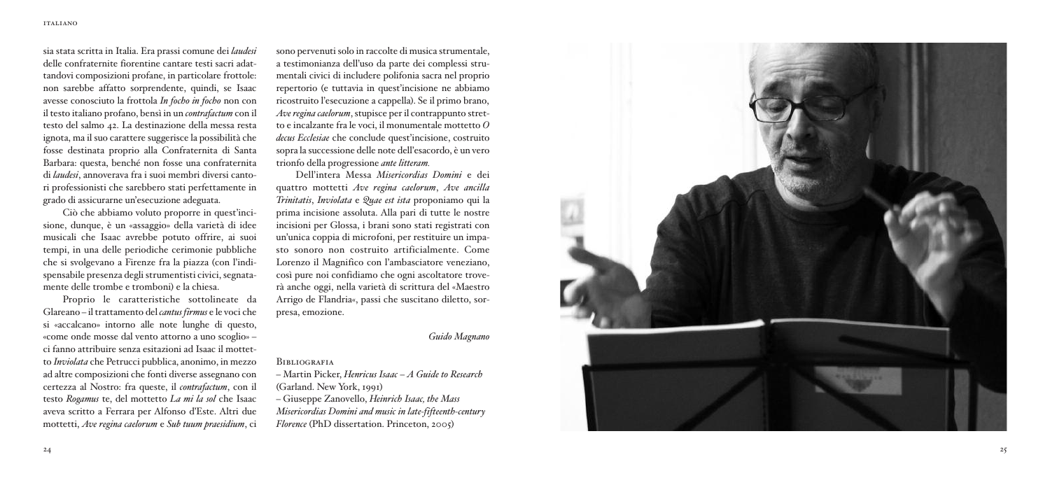sia stata scritta in Italia. Era prassi comune dei *laudesi* delle confraternite fiorentine cantare testi sacri adattandovi composizioni profane, in particolare frottole: non sarebbe affatto sorprendente, quindi, se Isaac avesse conosciuto la frottola *In focho in focho* non con il testo italiano profano, bensì in un *contrafactum* con il testo del salmo 42. La destinazione della messa resta ignota, ma il suo carattere suggerisce la possibilità che fosse destinata proprio alla Confraternita di Santa Barbara: questa, benché non fosse una confraternita di *laudesi*, annoverava fra i suoi membri diversi cantori professionisti che sarebbero stati perfettamente in erado di assicurarne un'esecuzione adeguata.

Ciò che abbiamo voluto proporre in quest'incisione, dunque, è un «assaggio» della varietà di idee musicali che Isaac avrebbe potuto offrire, ai suoi tempi, in una delle periodiche cerimonie pubbliche che si svolgevano a Firenze fra la piazza (con l'indispensabile presenza degli strumentisti civici, segnatamente delle trombe e tromboni) e la chiesa.

Proprio le caratteristiche sottolineate da Glareano – il trattamento del *cantus firmus* e le voci che si «accalcano» intorno alle note lunghe di questo. «come onde mosse dal vento attorno a uno scoglio» – ci fanno attribuire senza esitazioni ad Isaac il mottetto *Inviolata* che Petrucci pubblica, anonimo, in mezzo ad altre composizioni che fonti diverse assegnano con certezza al Nostro: fra queste, il *contrafactum*, con il testo *Rogamus* te, del mottetto *La mi la sol* che Isaac aveva scritto a Ferrara per Alfonso d'Este. Altri due mottetti. Ave regina caelorum e Sub tuum praesidium. ci sono pervenuti solo in raccolte di musica strumentale, a testimonianza dell'uso da parte dei complessi strumentali civici di includere polifonia sacra nel proprio repertorio (e tuttavia in quest'incisione ne abbiamo ricostruito l'esecuzione a cappella). Se il primo brano, *Ave regina caelorum*, stupisce per il contrappunto stretto e incalzante fra le voci, il monumentale mottetto O *decus Ecclesiae* che conclude quest'incisione, costruito sopra la successione delle note dell'esacordo, è un vero trionfo della progressione *ante litteram*.

Dell'intera Messa Misericordias Domini e dei quattro mottetti *Ave regina caelorum*, *Ave ancilla Trinitatis*, *Inviolata* e *Quae est ista* proponiamo qui la prima incisione assoluta. Alla pari di tutte le nostre incisioni per Glossa, i brani sono stati registrati con un'unica coppia di microfoni, per restituire un impasto sonoro non costruito artificialmente. Come Lorenzo il Magnifico con l'ambasciatore veneziano. così pure noi confidiamo che ogni ascoltatore troverà anche oggi, nella varietà di scrittura del «Maestro Arrigo de Flandria«, passi che suscitano diletto, sorpresa, emozione.

### Guido Magnano

### **BIBLIOGRAFIA**

*–* Martin Picker, Henricus Isaac – A Guide to Research (Garland, New York, 1991)

– G i u s e p p e Z a n o v e l l o , *He in rich Isaa c, th e Mass* Misericordias Domini and music in late-fifteenth-century *Florence* (PhD dissertation, Princeton, 2005)

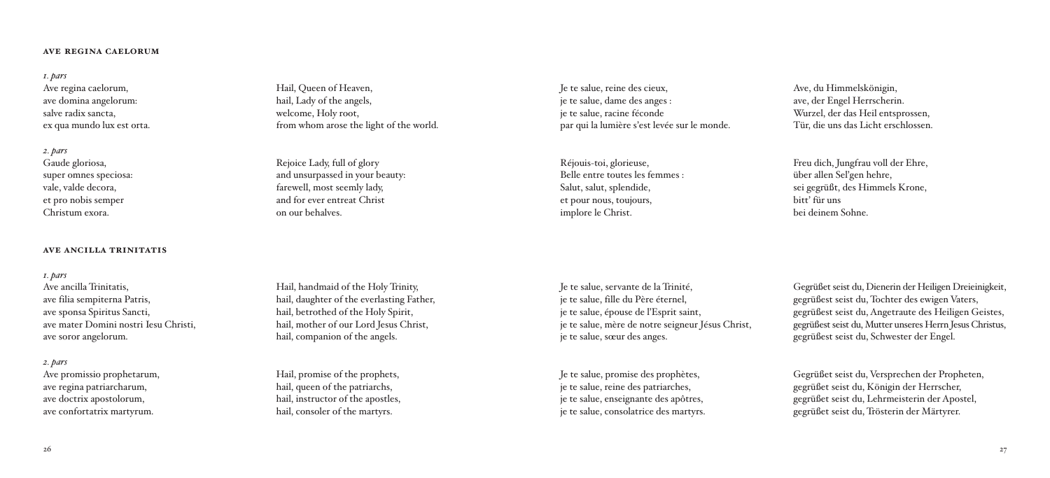#### **ave regina caelorum**

#### *1. pars*

Ave regina caelorum, ave domina angelorum: salve radix sancta, ex qua mundo lux est orta.

*2. pars* Gaude gloriosa, super omnes speciosa: vale, valde decora, et pro nobis semper Christum exora.

#### **ave ancilla trinitatis**

#### *1. pars*

Ave ancilla Trinitatis, ave filia sempiterna Patris, ave sponsa Spiritus Sancti, ave mater Domini nostri Iesu Christi, ave soror angelorum.

#### *2. pars*

Ave promissio prophetarum, ave regina patriarcharum, ave doctrix apostolorum, ave confortatrix martyrum.

Hail, Queen of Heaven, hail, Lady of the angels, welcome, Holy root, from whom arose the light of the world.

Rejoice Lady, full of glory and unsurpassed in your beauty: farewell, most seemly lady, and for ever entreat Christ on our behalves.

Hail, handmaid of the Holy Trinity, hail, daughter of the everlasting Father, hail, betrothed of the Holy Spirit, hail, mother of our Lord Jesus Christ, hail, companion of the angels.

Hail, promise of the prophets, hail, queen of the patriarchs, hail, instructor of the apostles, hail, consoler of the martyrs.

Je te salue, reine des cieux, je te salue, dame des anges : je te salue, racine féconde par qui la lumière s'est levée sur le monde.

Réjouis-toi, glorieuse, Belle entre toutes les femmes : Salut, salut, splendide, et pour nous, toujours, implore le Christ.

Ave, du Himmelskönigin, ave, der Engel Herrscherin. Wurzel, der das Heil entsprossen, Tür, die uns das Licht erschlossen.

Freu dich, Jungfrau voll der Ehre, über allen Sel'gen hehre, sei gegrüßt, des Himmels Krone, bitt' für uns bei deinem Sohne.

Je te salue, servante de la Trinité, je te salue, fille du Père éternel, je te salue, épouse de l'Esprit saint, je te salue, mère de notre seigneur Jésus Christ, je te salue, sœur des anges.

Je te salue, promise des prophètes, je te salue, reine des patriarches, je te salue, enseignante des apôtres, je te salue, consolatrice des martyrs.

Gegrüßet seist du, Dienerin der Heiligen Dreieinigkeit, gegrüßest seist du, Tochter des ewigen Vaters, gegrüßest seist du, Angetraute des Heiligen Geistes, gegrüßest seist du, Mutter unseres Herrn Jesus Christus, gegrüßest seist du, Schwester der Engel.

Gegrüßet seist du, Versprechen der Propheten, gegrüßet seist du, Königin der Herrscher, gegrüßet seist du, Lehrmeisterin der Apostel, gegrüßet seist du, Trösterin der Märtyrer.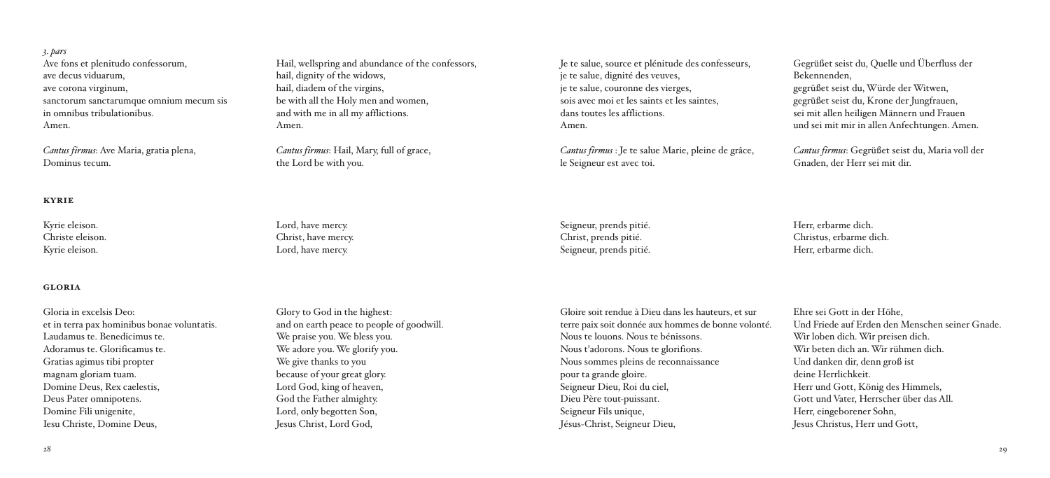*3. pars* Ave fons et plenitudo confessorum, ave decus viduarum, ave corona virginum, sanctorum sanctarumque omnium mecum sis in omnibus tribulationibus. Amen.

*Cantus firmus*: Ave Maria, gratia plena, Dominus tecum.

### **kyrie**

Kyrie eleison. Christe eleison. Kyrie eleison.

#### **gloria**

Gloria in excelsis Deo: et in terra pax hominibus bonae voluntatis. Laudamus te. Benedicimus te. Adoramus te. Glorificamus te. Gratias agimus tibi propter magnam gloriam tuam. Domine Deus, Rex caelestis, Deus Pater omnipotens. Domine Fili unigenite, Iesu Christe, Domine Deus,

Hail, wellspring and abundance of the confessors, hail, dignity of the widows, hail, diadem of the virgins. be with all the Holy men and women, and with me in all my afflictions. Amen.

*Cantus firmus*: Hail, Mary, full of grace, the Lord be with you.

Lord, have mercy. Christ, have mercy. Lord, have mercy.

Glory to God in the highest: and on earth peace to people of goodwill. We praise you. We bless you. We adore you. We glorify you. We give thanks to you because of your great glory. Lord God, king of heaven, God the Father almighty. Lord, only begotten Son, Jesus Christ, Lord God,

Je te salue, source et plénitude des confesseurs, je te salue, dignité des veuves, je te salue, couronne des vierges, sois avec moi et les saints et les saintes, dans toutes les afflictions. Amen.

*Cantus firmus* : Je te salue Marie, pleine de grâce, le Seigneur est avec toi.

Seigneur, prends pitié. Christ, prends pitié. Seigneur, prends pitié.

Gloire soit rendue à Dieu dans les hauteurs, et sur terre paix soit donnée aux hommes de bonne volonté. Nous te louons. Nous te bénissons. Nous t'adorons. Nous te glorifions. Nous sommes pleins de reconnaissance pour ta grande gloire. Seigneur Dieu, Roi du ciel, Dieu Père tout-puissant. Seigneur Fils unique, Jésus-Christ, Seigneur Dieu,

Gegrüßet seist du, Quelle und Überfluss der Bekennenden, gegrüßet seist du,Würde derWitwen, gegrüßet seist du, Krone der Jungfrauen, sei mit allen heiligen Männern und Frauen und sei mit mir in allen Anfechtungen. Amen.

*Cantus firmus*: Gegrüßet seist du, Maria voll der Gnaden, der Herr sei mit dir.

Herr, erbarme dich. Christus, erbarme dich. Herr, erbarme dich.

Ehre sei Gott in der Höhe, Und Friede auf Erden den Menschen seiner Gnade. Wir loben dich.Wir preisen dich. Wir beten dich an.Wir rühmen dich. Und danken dir, denn groß ist deine Herrlichkeit. Herr und Gott, König des Himmels, Gott und Vater, Herrscher über das All. Herr, eingeborener Sohn, Jesus Christus, Herr und Gott,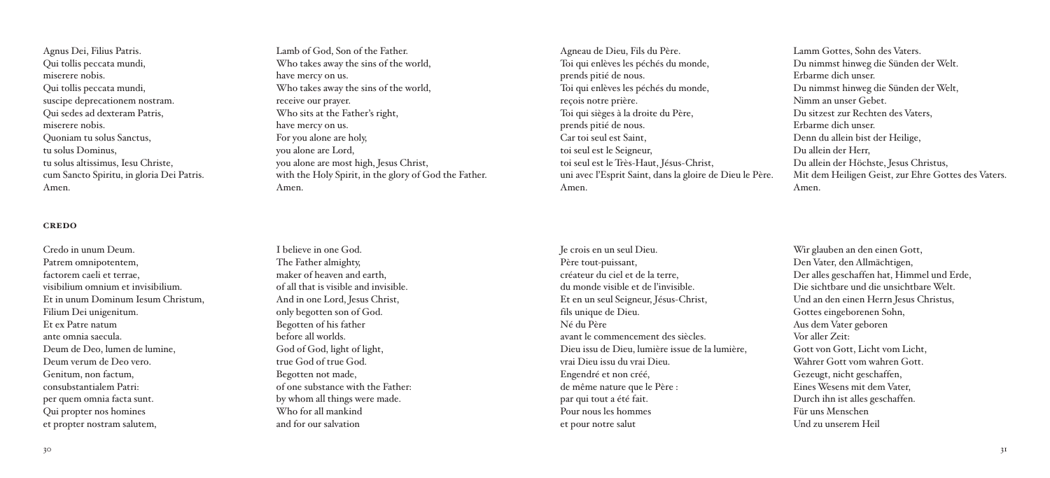Agnus Dei, Filius Patris. Qui tollis peccata mundi, miserere nobis. Qui tollis peccata mundi, suscipe deprecationem nostram. Qui sedes ad dexteram Patris, miserere nobis. Quoniam tu solus Sanctus, tu solus Dominus, tu solus altissimus, Iesu Christe, cum Sancto Spiritu, in gloria Dei Patris. Amen.

#### **credo**

Credo in unum Deum. Patrem omnipotentem, factorem caeli et terrae, visibilium omnium et invisibilium. Et in unum Dominum Iesum Christum, Filium Dei unigenitum. Et ex Patre natum ante omnia saecula. Deum de Deo, lumen de lumine, Deum verum de Deo vero. Genitum, non factum, consubstantialem Patri: per quem omnia facta sunt. Qui propter nos homines et propter nostram salutem,

Lamb of God, Son of the Father. Who takes away the sins of the world, have mercy on us. Who takes away the sins of the world, receive our prayer. Who sits at the Father's right, have mercy on us. For you alone are holy, you alone are Lord, you alone are most high, Jesus Christ, with the Holy Spirit, in the glory of God the Father. Amen.

I believe in one God. The Father almighty, maker of heaven and earth, of all that is visible and invisible. And in one Lord, Jesus Christ, only begotten son of God. Begotten of his father before all worlds. God of God, light of light, true God of true God. Begotten not made, of one substance with the Father: by whom all things were made. Who for all mankind and for our salvation

Agneau de Dieu, Fils du Père. Toi qui enlèves les péchés du monde, prends pitié de nous. Toi qui enlèves les péchés du monde, reçois notre prière. Toi qui sièges à la droite du Père, prends pitié de nous. Car toi seul est Saint, toi seul est le Seigneur, toi seul est le Très-Haut, Jésus-Christ, uni avec l'Esprit Saint, dans la gloire de Dieu le Père. Amen.

Je crois en un seul Dieu. Père tout-puissant, créateur du ciel et de la terre, du monde visible et de l'invisible. Et en un seul Seigneur, Jésus-Christ, fils unique de Dieu. Né du Père avant le commencement des siècles. Dieu issu de Dieu, lumière issue de la lumière, vrai Dieu issu du vrai Dieu. Engendré et non créé, de même nature que le Père : par qui tout a été fait. Pour nous les hommes et pour notre salut

Lamm Gottes, Sohn des Vaters. Du nimmst hinweg die Sünden derWelt. Erbarme dich unser. Du nimmst hinweg die Sünden derWelt, Nimm an unser Gebet. Du sitzest zur Rechten des Vaters, Erbarme dich unser. Denn du allein bist der Heilige, Du allein der Herr, Du allein der Höchste, Jesus Christus, Mit dem Heiligen Geist, zur Ehre Gottes des Vaters. Amen.

Wir glauben an den einen Gott, Den Vater, den Allmächtigen, Der alles geschaffen hat, Himmel und Erde, Die sichtbare und die unsichtbare Welt. Und an den einen Herrn Jesus Christus, Gottes eingeborenen Sohn, Aus dem Vater geboren Vor aller Zeit: Gott von Gott, Licht vom Licht, Wahrer Gott vom wahren Gott. Gezeugt, nicht geschaffen, EinesWesens mit dem Vater, Durch ihn ist alles geschaffen. Für uns Menschen Und zu unserem Heil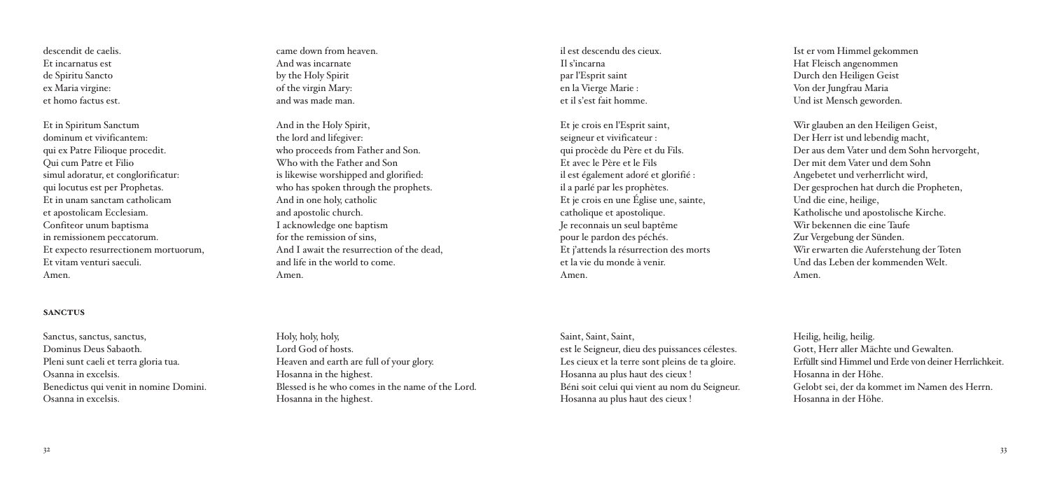Et in Spiritum Sanctum dominum et vivificantem: qui ex Patre Filioque procedit. Qui cum Patre et Filio simul adoratur, et conglorificatur: qui locutus est per Prophetas. Et in unam sanctam catholicam et apostolicam Ecclesiam. Confiteor unum baptisma in remissionem peccatorum. Et expecto resurrectionem mortuorum, Et vitam venturi saeculi. Amen.

#### **sanctus**

Sanctus, sanctus, sanctus, Dominus Deus Sabaoth. Pleni sunt caeli et terra gloria tua. Osanna in excelsis. Benedictus qui venit in nomine Domini. Osanna in excelsis.

came down from heaven. And was incarnate by the Holy Spirit of the virgin Mary: and was made man.

And in the Holy Spirit, the lord and lifegiver: who proceeds from Father and Son. Who with the Father and Son is likewise worshipped and glorified: who has spoken through the prophets. And in one holy, catholic and apostolic church. I acknowledge one baptism for the remission of sins, And I await the resurrection of the dead, and life in the world to come. Amen.

il est descendu des cieux. Il s'incarna par l'Esprit saint en la Vierge Marie : et il s'est fait homme.

Et je crois en l'Esprit saint, seigneur et vivificateur : qui procède du Père et du Fils. Et avec le Père et le Fils il est également adoré et glorifié : il a parlé par les prophètes. Et je crois en une Église une, sainte, catholique et apostolique. Je reconnais un seul baptême pour le pardon des péchés. Et j'attends la résurrection des morts et la vie du monde à venir. Amen.

Ist er vom Himmel gekommen Hat Fleisch angenommen Durch den Heiligen Geist Von der Jungfrau Maria Und ist Mensch geworden.

Wir glauben an den Heiligen Geist, Der Herr ist und lebendig macht, Der aus dem Vater und dem Sohn hervorgeht, Der mit dem Vater und dem Sohn Angebetet und verherrlicht wird, Der gesprochen hat durch die Propheten, Und die eine, heilige, Katholische und apostolische Kirche. Wir bekennen die eine Taufe Zur Vergebung der Sünden. Wir erwarten die Auferstehung der Toten Und das Leben der kommendenWelt. Amen.

Holy, holy, holy, Lord God of hosts. Heaven and earth are full of your glory. Hosanna in the highest. Blessed is he who comes in the name of the Lord. Hosanna in the highest.

Saint, Saint, Saint, est le Seigneur, dieu des puissances célestes. Les cieux et la terre sont pleins de ta gloire. Hosanna au plus haut des cieux ! Béni soit celui qui vient au nom du Seigneur. Hosanna au plus haut des cieux !

Heilig, heilig, heilig. Gott, Herr aller Mächte und Gewalten. Erfüllt sind Himmel und Erde von deiner Herrlichkeit. Hosanna in der Höhe. Gelobt sei, der da kommet im Namen des Herrn. Hosanna in der Höhe.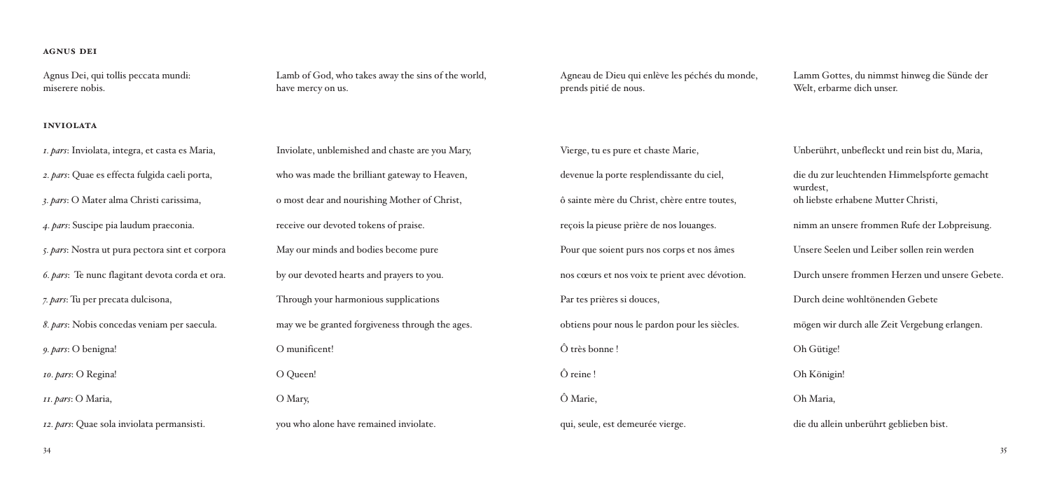## **agnus dei**

Agnus Dei, qui tollis peccata mundi: miserere nobis.

### **inviolata**

*1. pars*: Inviolata, integra, et casta es Maria, *2. pars*: Quae es effecta fulgida caeli porta, *3. pars*: O Mater alma Christi carissima, *4. pars*: Suscipe pia laudum praeconia. *5. pars*: Nostra ut pura pectora sint et corpora *6. pars*: Te nunc flagitant devota corda et ora. *7. pars*: Tu per precata dulcisona, *8. pars*: Nobis concedas veniam per saecula. *9. pars*: O benigna! *10. pars*: O Regina! *11. pars*: O Maria, *12. pars*: Quae sola inviolata permansisti.

Lamb of God, who takes away the sins of the world, have mercy on us.

Inviolate, unblemished and chaste are you Mary, who was made the brilliant gateway to Heaven, o most dear and nourishing Mother of Christ, receive our devoted tokens of praise. May our minds and bodies become pure by our devoted hearts and prayers to you. Through your harmonious supplications may we be granted forgiveness through the ages. O munificent! O Queen! O Mary, you who alone have remained inviolate.

Agneau de Dieu qui enlève les péchés du monde, prends pitié de nous.

Vierge, tu es pure et chaste Marie, devenue la porte resplendissante du ciel, ô sainte mère du Christ, chère entre toutes, reçois la pieuse prière de nos louanges. Pour que soient purs nos corps et nos âmes nos cœurs et nos voix te prient avec dévotion. Par tes prières si douces, obtiens pour nous le pardon pour les siècles. Ô très bonne ! Ô reine ! Ô Marie, qui, seule, est demeurée vierge.

Lamm Gottes, du nimmst hinweg die Sünde der Welt, erbarme dich unser.

Unberührt, unbefleckt und rein bist du, Maria, die du zur leuchtenden Himmelspforte gemacht wurdest, oh liebste erhabene Mutter Christi, nimm an unsere frommen Rufe der Lobpreisung. Unsere Seelen und Leiber sollen rein werden Durch unsere frommen Herzen und unsere Gebete. Durch deine wohltönenden Gebete mögen wir durch alle Zeit Vergebung erlangen. Oh Gütige! Oh Königin! Oh Maria, die du allein unberührt geblieben bist.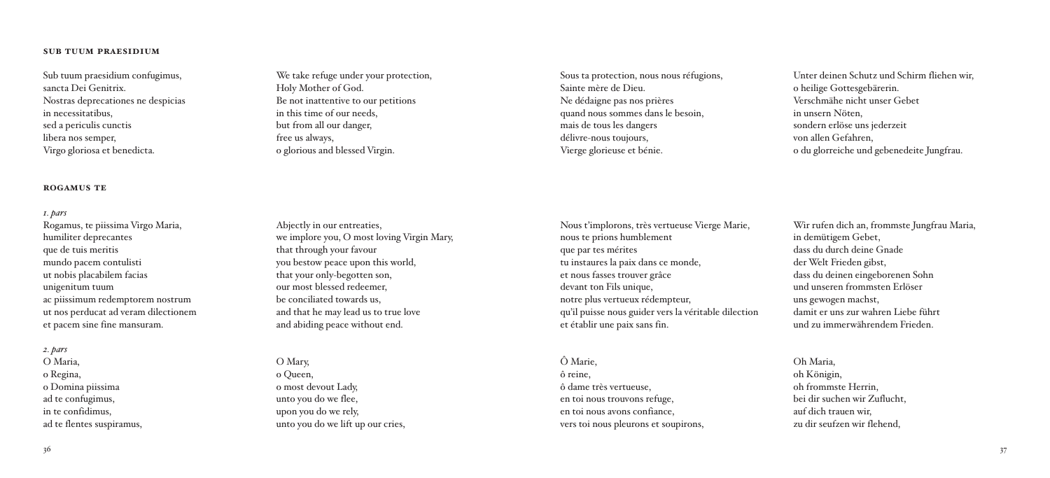### $36$  30

#### **sub tuum praesidium**

Sub tuum praesidium confugimus, sancta Dei Genitrix. Nostras deprecationes ne despicias in necessitatibus, sed a periculis cunctis libera nos semper, Virgo gloriosa et benedicta.

#### **rogamus te**

*1. pars* Rogamus, te piissima Virgo Maria, humiliter deprecantes que de tuis meritis mundo pacem contulisti ut nobis placabilem facias unigenitum tuum ac piissimum redemptorem nostrum ut nos perducat ad veram dilectionem et pacem sine fine mansuram.

*2. pars* O Maria, o Regina, o Domina piissima ad te confugimus, in te confidimus, ad te flentes suspiramus,

We take refuge under your protection, Holy Mother of God. Be not inattentive to our petitions in this time of our needs, but from all our danger, free us always, o glorious and blessed Virgin.

Abjectly in our entreaties, we implore you, O most loving Virgin Mary, that through your favour you bestow peace upon this world, that your only-begotten son, our most blessed redeemer, be conciliated towards us, and that he may lead us to true love and abiding peace without end.

O Mary, o Queen, o most devout Lady, unto you do we flee, upon you do we rely, unto you do we lift up our cries, Sous ta protection, nous nous réfugions, Sainte mère de Dieu. Ne dédaigne pas nos prières quand nous sommes dans le besoin, mais de tous les dangers délivre-nous toujours. Vierge glorieuse et bénie.

Unter deinen Schutz und Schirm fliehen wir, o heilige Gottesgebärerin. Verschmähe nicht unser Gebet in unsern Nöten, sondern erlöse uns jederzeit von allen Gefahren, o du glorreiche und gebenedeite Jungfrau.

Nous t'implorons, très vertueuse Vierge Marie, nous te prions humblement que par tes mérites tu instaures la paix dans ce monde, et nous fasses trouver grâce devant ton Fils unique, notre plus vertueux rédempteur, qu'il puisse nous guider vers la véritable dilection et établir une paix sans fin.

Ô Marie, ô reine, ô dame très vertueuse, en toi nous trouvons refuge, en toi nous avons confiance, vers toi nous pleurons et soupirons,

Wir rufen dich an, frommste Jungfrau Maria, in demütigem Gebet, dass du durch deine Gnade derWelt Frieden gibst, dass du deinen eingeborenen Sohn und unseren frommsten Erlöser uns gewogen machst, damit er uns zur wahren Liebe führt und zu immerwährendem Frieden.

Oh Maria, oh Königin, oh frommste Herrin, bei dir suchen wir Zuflucht, auf dich trauen wir, zu dir seufzen wir flehend,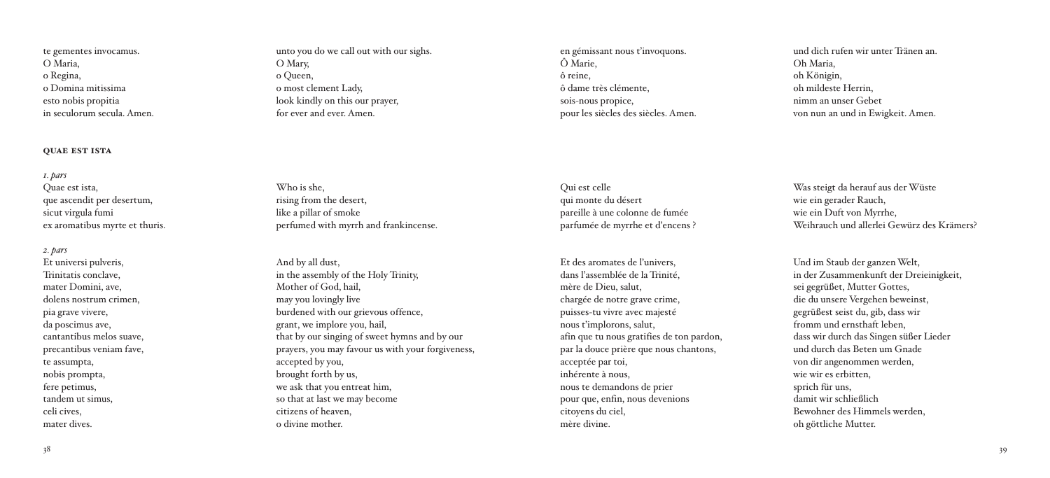te gementes invocamus. O Maria, o Regina, o Domina mitissima esto nobis propitia in seculorum secula. Amen.

#### **quae est ista**

*1. pars* Quae est ista, que ascendit per desertum, sicut virgula fumi ex aromatibus myrte et thuris.

*2. pars* Et universi pulveris, Trinitatis conclave, mater Domini, ave, dolens nostrum crimen, pia grave vivere, da poscimus ave, cantantibus melos suave, precantibus veniam fave, te assumpta, nobis prompta, fere petimus, tandem ut simus, celi cives, mater dives.

unto you do we call out with our sighs. O Mary, o Queen, o most clement Lady, look kindly on this our prayer, for ever and ever. Amen.

Who is she, rising from the desert, like a pillar of smoke perfumed with myrrh and frankincense.

And by all dust, in the assembly of the Holy Trinity, Mother of God, hail, may you lovingly live burdened with our grievous offence, grant, we implore you, hail, that by our singing of sweet hymns and by our prayers, you may favour us with your forgiveness, accepted by you, brought forth by us, we ask that you entreat him, so that at last we may become citizens of heaven, o divine mother.

en gémissant nous t'invoquons. Ô Marie, ô reine, ô dame très clémente, sois-nous propice, pour les siècles des siècles. Amen.

Qui est celle

und dich rufen wir unter Tränen an. Oh Maria, oh Königin, oh mildeste Herrin, nimm an unser Gebet von nun an und in Ewigkeit. Amen.

qui monte du désert pareille à une colonne de fumée parfumée de myrrhe et d'encens ?

Et des aromates de l'univers, dans l'assemblée de la Trinité, mère de Dieu, salut, chargée de notre grave crime, puisses-tu vivre avec majesté nous t'implorons, salut, afin que tu nous gratifies de ton pardon, par la douce prière que nous chantons, acceptée par toi, inhérente à nous, nous te demandons de prier pour que, enfin, nous devenions citoyens du ciel, mère divine.

Was steigt da herauf aus derWüste wie ein gerader Rauch, wie ein Duft von Myrrhe, Weihrauch und allerlei Gewürz des Krämers?

Und im Staub der ganzenWelt, in der Zusammenkunft der Dreieinigkeit, sei gegrüßet, Mutter Gottes, die du unsere Vergehen beweinst, gegrüßest seist du, gib, dass wir fromm und ernsthaft leben, dass wir durch das Singen süßer Lieder und durch das Beten um Gnade von dir angenommen werden, wie wir es erbitten, sprich für uns, damit wir schließlich Bewohner des Himmels werden, oh göttliche Mutter.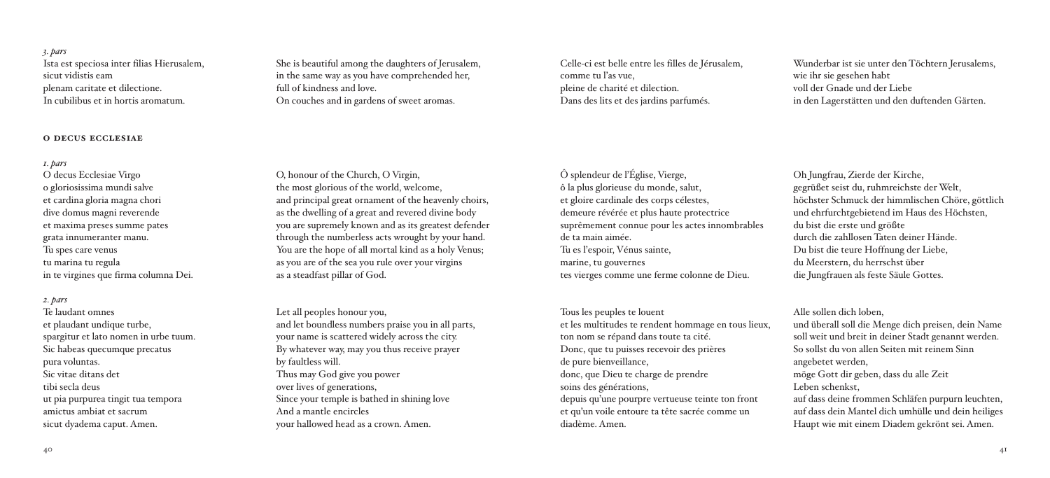*3. pars* Ista est speciosa inter filias Hierusalem, sicut vidistis eam plenam caritate et dilectione. In cubilibus et in hortis aromatum.

#### **o decus ecclesiae**

*1. pars*

O decus Ecclesiae Virgo o gloriosissima mundi salve et cardina gloria magna chori dive domus magni reverende et maxima preses summe pates grata innumeranter manu. Tu spes care venus tu marina tu regula in te virgines que firma columna Dei.

*2. pars* Te laudant omnes et plaudant undique turbe, spargitur et lato nomen in urbe tuum. Sic habeas quecumque precatus pura voluntas. Sic vitae ditans det tibi secla deus ut pia purpurea tingit tua tempora amictus ambiat et sacrum sicut dyadema caput. Amen.

She is beautiful among the daughters of Jerusalem, in the same way as you have comprehended her, full of kindness and love. On couches and in gardens of sweet aromas.

O, honour of the Church, O Virgin, the most glorious of the world, welcome, and principal great ornament of the heavenly choirs, as the dwelling of a great and revered divine body you are supremely known and as its greatest defender through the numberless acts wrought by your hand. You are the hope of all mortal kind as a holy Venus; as you are of the sea you rule over your virgins

as a steadfast pillar of God.

Let all peoples honour you,

Thus may God give you power over lives of generations,

And a mantle encircles

by faultless will.

and let boundless numbers praise you in all parts, your name is scattered widely across the city. By whatever way, may you thus receive prayer

Since your temple is bathed in shining love

your hallowed head as a crown. Amen.

Celle-ci est belle entre les filles de Jérusalem, comme tu l'as vue, pleine de charité et dilection. Dans des lits et des jardins parfumés.

Wunderbar ist sie unter den Töchtern Jerusalems, wie ihr sie gesehen habt voll der Gnade und der Liebe in den Lagerstätten und den duftenden Gärten.

Ô splendeur de l'Église, Vierge, ô la plus glorieuse du monde, salut, et gloire cardinale des corps célestes, demeure révérée et plus haute protectrice suprêmement connue pour les actes innombrables de ta main aimée. Tu es l'espoir, Vénus sainte, marine, tu gouvernes tes vierges comme une ferme colonne de Dieu.

Tous les peuples te louent et les multitudes te rendent hommage en tous lieux, ton nom se répand dans toute ta cité. Donc, que tu puisses recevoir des prières de pure bienveillance, donc, que Dieu te charge de prendre soins des générations, depuis qu'une pourpre vertueuse teinte ton front et qu'un voile entoure ta tête sacrée comme un diadème. Amen.

Oh Jungfrau, Zierde der Kirche, gegrüßet seist du, ruhmreichste der Welt, höchster Schmuck der himmlischen Chöre, göttlich und ehrfurchtgebietend im Haus des Höchsten, du bist die erste und größte durch die zahllosen Taten deiner Hände. Du bist die teure Hoffnung der Liebe, du Meerstern, du herrschst über die Jungfrauen als feste Säule Gottes.

Alle sollen dich loben, und überall soll die Menge dich preisen, dein Name soll weit und breit in deiner Stadt genannt werden. So sollst du von allen Seiten mit reinem Sinn angebetet werden, möge Gott dir geben, dass du alle Zeit Leben schenkst, auf dass deine frommen Schläfen purpurn leuchten, auf dass dein Mantel dich umhülle und dein heiliges Haupt wie mit einem Diadem gekrönt sei. Amen.